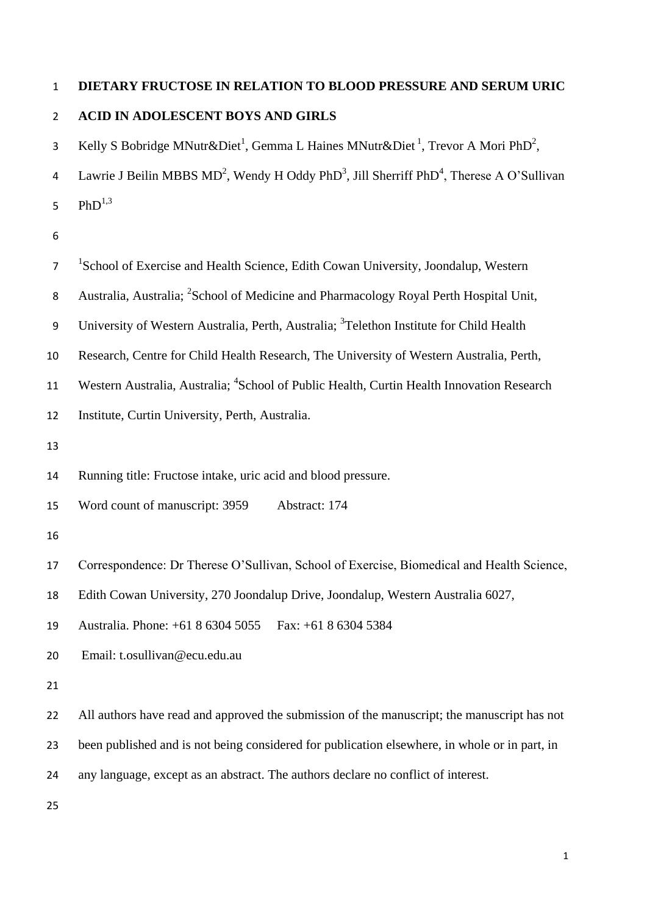# **DIETARY FRUCTOSE IN RELATION TO BLOOD PRESSURE AND SERUM URIC**

# **ACID IN ADOLESCENT BOYS AND GIRLS**

3 Kelly S Bobridge MNutr&Diet<sup>1</sup>, Gemma L Haines MNutr&Diet<sup>1</sup>, Trevor A Mori PhD<sup>2</sup>,

4 Lawrie J Beilin MBBS  $MD^2$ , Wendy H Oddy PhD<sup>3</sup>, Jill Sherriff PhD<sup>4</sup>, Therese A O'Sullivan 5  $PhD^{1,3}$ 

| $\overline{7}$ | <sup>1</sup> School of Exercise and Health Science, Edith Cowan University, Joondalup, Western        |
|----------------|-------------------------------------------------------------------------------------------------------|
| 8              | Australia, Australia; <sup>2</sup> School of Medicine and Pharmacology Royal Perth Hospital Unit,     |
| 9              | University of Western Australia, Perth, Australia; <sup>3</sup> Telethon Institute for Child Health   |
| 10             | Research, Centre for Child Health Research, The University of Western Australia, Perth,               |
| 11             | Western Australia, Australia; <sup>4</sup> School of Public Health, Curtin Health Innovation Research |
| 12             | Institute, Curtin University, Perth, Australia.                                                       |
| 13             |                                                                                                       |
| 14             | Running title: Fructose intake, uric acid and blood pressure.                                         |
| 15             | Word count of manuscript: 3959<br>Abstract: 174                                                       |
| 16             |                                                                                                       |
| 17             | Correspondence: Dr Therese O'Sullivan, School of Exercise, Biomedical and Health Science,             |
| 18             | Edith Cowan University, 270 Joondalup Drive, Joondalup, Western Australia 6027,                       |
| 19             | Australia. Phone: +61 8 6304 5055<br>Fax: +61 8 6304 5384                                             |
| 20             | Email: t.osullivan@ecu.edu.au                                                                         |
| 21             |                                                                                                       |
| 22             | All authors have read and approved the submission of the manuscript; the manuscript has not           |
| 23             | been published and is not being considered for publication elsewhere, in whole or in part, in         |
| 24             | any language, except as an abstract. The authors declare no conflict of interest.                     |
| 25             |                                                                                                       |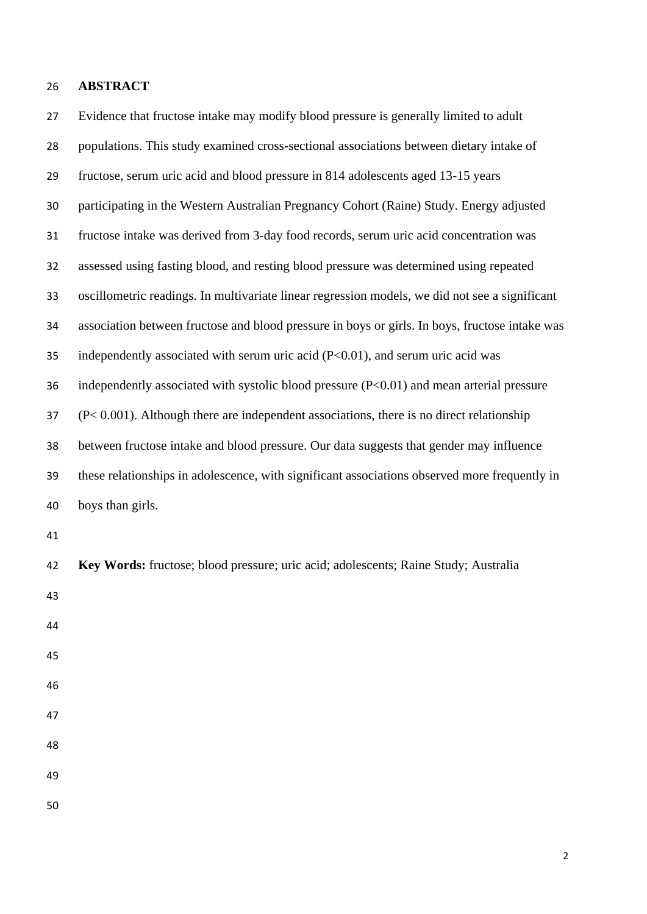#### **ABSTRACT**

 Evidence that fructose intake may modify blood pressure is generally limited to adult populations. This study examined cross-sectional associations between dietary intake of fructose, serum uric acid and blood pressure in 814 adolescents aged 13-15 years participating in the Western Australian Pregnancy Cohort (Raine) Study. Energy adjusted fructose intake was derived from 3-day food records, serum uric acid concentration was assessed using fasting blood, and resting blood pressure was determined using repeated oscillometric readings. In multivariate linear regression models, we did not see a significant association between fructose and blood pressure in boys or girls. In boys, fructose intake was independently associated with serum uric acid (P<0.01), and serum uric acid was independently associated with systolic blood pressure (P<0.01) and mean arterial pressure (P< 0.001). Although there are independent associations, there is no direct relationship between fructose intake and blood pressure. Our data suggests that gender may influence these relationships in adolescence, with significant associations observed more frequently in boys than girls. **Key Words:** fructose; blood pressure; uric acid; adolescents; Raine Study; Australia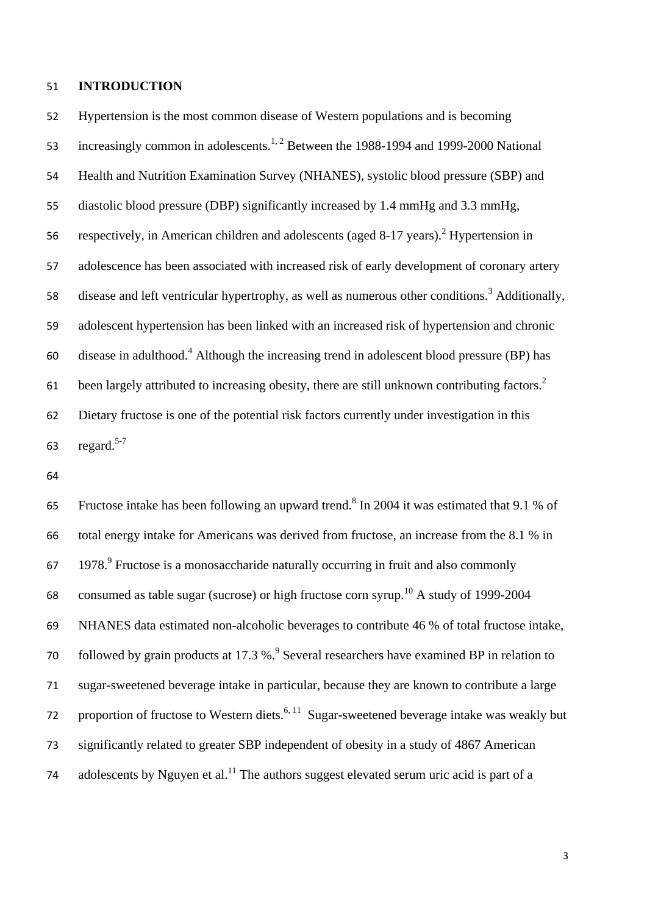#### **INTRODUCTION**

53 increasingly common in adolescents.<sup>[1,](#page-17-0) [2](#page-17-1)</sup> Between the 1988-1994 and 1999-2000 National Health and Nutrition Examination Survey (NHANES), systolic blood pressure (SBP) and diastolic blood pressure (DBP) significantly increased by 1.4 mmHg and 3.3 mmHg, 56 respectively, in American children and adolescents (aged 8-17 years)[.](#page-17-1)<sup>2</sup> Hypertension in adolescence has been associated with increased risk of early development of coronary artery 58 disease and left ventricular hypertrophy, as well as numerous other conditions.<sup>[3](#page-17-2)</sup> Additionally, adolescent hypertension has been linked with an increased risk of hypertension and chronic 60 disease in adulthood.<sup>[4](#page-17-3)</sup> Although the increasing trend in adolescent blood pressure (BP) has been largely attributed to increasing obesity, there are still unknown contributing factors.<sup>[2](#page-17-1)</sup> Dietary fructose is one of the potential risk factors currently under investigation in this regard. [5-7](#page-17-4) 

Hypertension is the most common disease of Western populations and is becoming

65 Fructose intake has been following an upward trend.<sup>[8](#page-18-0)</sup> In 2004 it was estimated that 9.1 % of total energy intake for Americans was derived from fructose, an increase from the 8.1 % in 67  $1978.<sup>9</sup>$  $1978.<sup>9</sup>$  Fructose is a monosaccharide naturally occurring in fruit and also commonly 68 consumed as table sugar (sucrose) or high fructose corn syrup.<sup>[10](#page-18-2)</sup> A study of 1999-2004 NHANES data estimated non-alcoholic beverages to contribute 46 % of total fructose intake, 70 followed by grain products at 17.3 %.<sup>[9](#page-18-1)</sup> Several researchers have examined BP in relation to sugar-sweetened beverage intake in particular, because they are known to contribute a large 72 proportion of fructose to Western diets.<sup>[6,](#page-17-5) [11](#page-18-3)</sup> Sugar-sweetened beverage intake was weakly but significantly related to greater SBP independent of obesity in a study of 4867 American 74 adolescents by Nguyen et al.<sup>[11](#page-18-3)</sup> The authors suggest elevated serum uric acid is part of a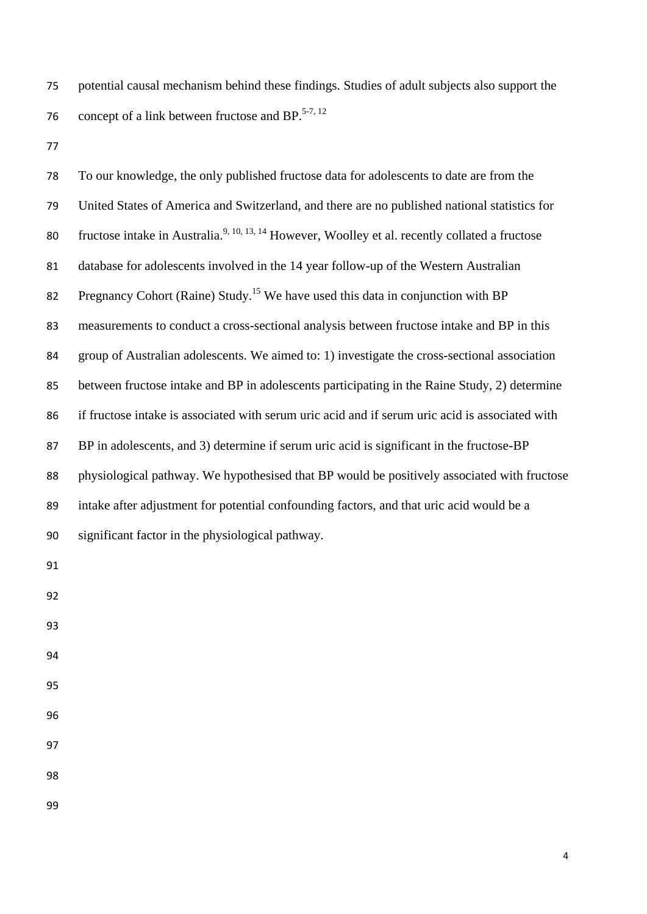potential causal mechanism behind these findings. Studies of adult subjects also support the 76 concept of a link between fructose and  $BP$ <sup>[5-7,](#page-17-4) [12](#page-18-4)</sup>

 To our knowledge, the only published fructose data for adolescents to date are from the United States of America and Switzerland, and there are no published national statistics for 80 fructose intake in Australia.<sup>[9,](#page-18-1) [10,](#page-18-2) [13,](#page-19-0) [14](#page-19-1)</sup> However, Woolley et al. recently collated a fructose database for adolescents involved in the 14 year follow-up of the Western Australian 82 Pregnancy Cohort (Raine) Study.<sup>[15](#page-19-2)</sup> We have used this data in conjunction with BP measurements to conduct a cross-sectional analysis between fructose intake and BP in this group of Australian adolescents. We aimed to: 1) investigate the cross-sectional association between fructose intake and BP in adolescents participating in the Raine Study, 2) determine if fructose intake is associated with serum uric acid and if serum uric acid is associated with BP in adolescents, and 3) determine if serum uric acid is significant in the fructose-BP physiological pathway. We hypothesised that BP would be positively associated with fructose intake after adjustment for potential confounding factors, and that uric acid would be a significant factor in the physiological pathway.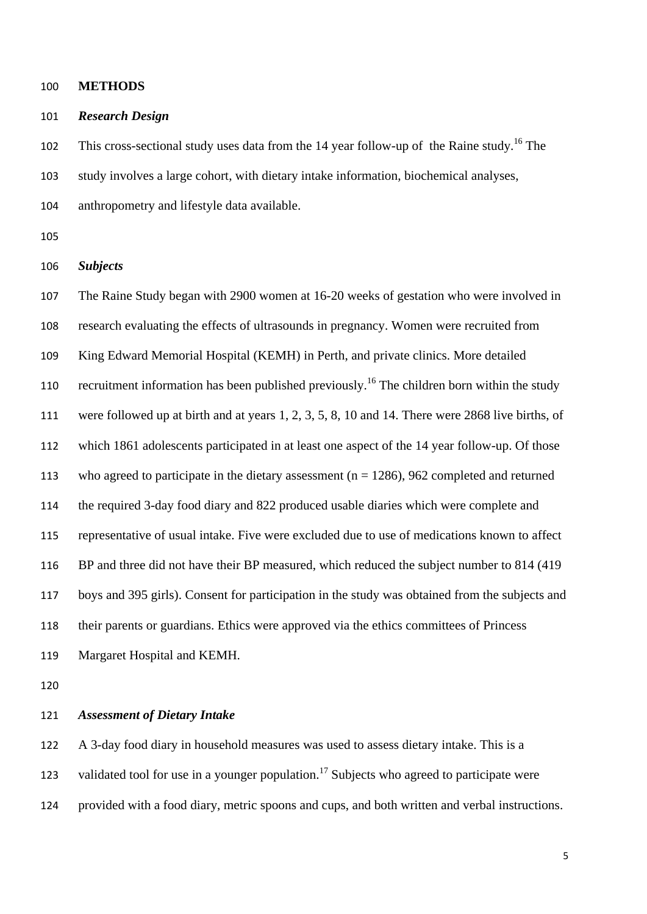**METHODS**

#### *Research Design*

102 This cross-sectional study uses data from the 14 year follow-up of the Raine study.<sup>[16](#page-19-3)</sup> The study involves a large cohort, with dietary intake information, biochemical analyses, anthropometry and lifestyle data available.

#### *Subjects*

 The Raine Study began with 2900 women at 16-20 weeks of gestation who were involved in research evaluating the effects of ultrasounds in pregnancy. Women were recruited from King Edward Memorial Hospital (KEMH) in Perth, and private clinics. More detailed 110 recruitment information has been published previously.<sup>[16](#page-19-3)</sup> The children born within the study were followed up at birth and at years 1, 2, 3, 5, 8, 10 and 14. There were 2868 live births, of which 1861 adolescents participated in at least one aspect of the 14 year follow-up. Of those who agreed to participate in the dietary assessment (n = 1286), 962 completed and returned the required 3-day food diary and 822 produced usable diaries which were complete and representative of usual intake. Five were excluded due to use of medications known to affect BP and three did not have their BP measured, which reduced the subject number to 814 (419 boys and 395 girls). Consent for participation in the study was obtained from the subjects and their parents or guardians. Ethics were approved via the ethics committees of Princess Margaret Hospital and KEMH.

### *Assessment of Dietary Intake*

 A 3-day food diary in household measures was used to assess dietary intake. This is a 123 validated tool for use in a younger population.<sup>[17](#page-19-4)</sup> Subjects who agreed to participate were provided with a food diary, metric spoons and cups, and both written and verbal instructions.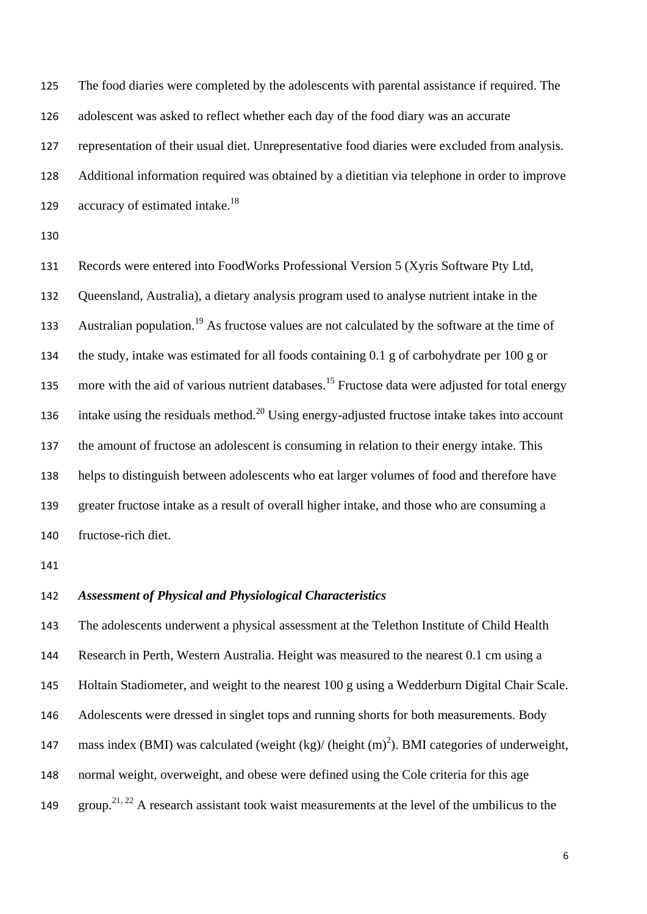The food diaries were completed by the adolescents with parental assistance if required. The adolescent was asked to reflect whether each day of the food diary was an accurate representation of their usual diet. Unrepresentative food diaries were excluded from analysis. Additional information required was obtained by a dietitian via telephone in order to improve  $\alpha$  accuracy of estimated intake.<sup>[18](#page-20-0)</sup>

 Records were entered into FoodWorks Professional Version 5 (Xyris Software Pty Ltd, Queensland, Australia), a dietary analysis program used to analyse nutrient intake in the Australian population.<sup>[19](#page-20-1)</sup> As fructose values are not calculated by the software at the time of the study, intake was estimated for all foods containing 0.1 g of carbohydrate per 100 g or 135 more with the aid of various nutrient databases.<sup>[15](#page-19-2)</sup> Fructose data were adjusted for total energy 136 intake using the residuals method.<sup>[20](#page-20-2)</sup> Using energy-adjusted fructose intake takes into account the amount of fructose an adolescent is consuming in relation to their energy intake. This helps to distinguish between adolescents who eat larger volumes of food and therefore have greater fructose intake as a result of overall higher intake, and those who are consuming a fructose-rich diet.

### *Assessment of Physical and Physiological Characteristics*

 The adolescents underwent a physical assessment at the Telethon Institute of Child Health Research in Perth, Western Australia. Height was measured to the nearest 0.1 cm using a Holtain Stadiometer, and weight to the nearest 100 g using a Wedderburn Digital Chair Scale. Adolescents were dressed in singlet tops and running shorts for both measurements. Body 147 mass index (BMI) was calculated (weight  $(kg)/$  (height  $(m)^2$ ). BMI categories of underweight, normal weight, overweight, and obese were defined using the Cole criteria for this age 149 group.<sup>[21,](#page-20-3) [22](#page-20-4)</sup> A research assistant took waist measurements at the level of the umbilicus to the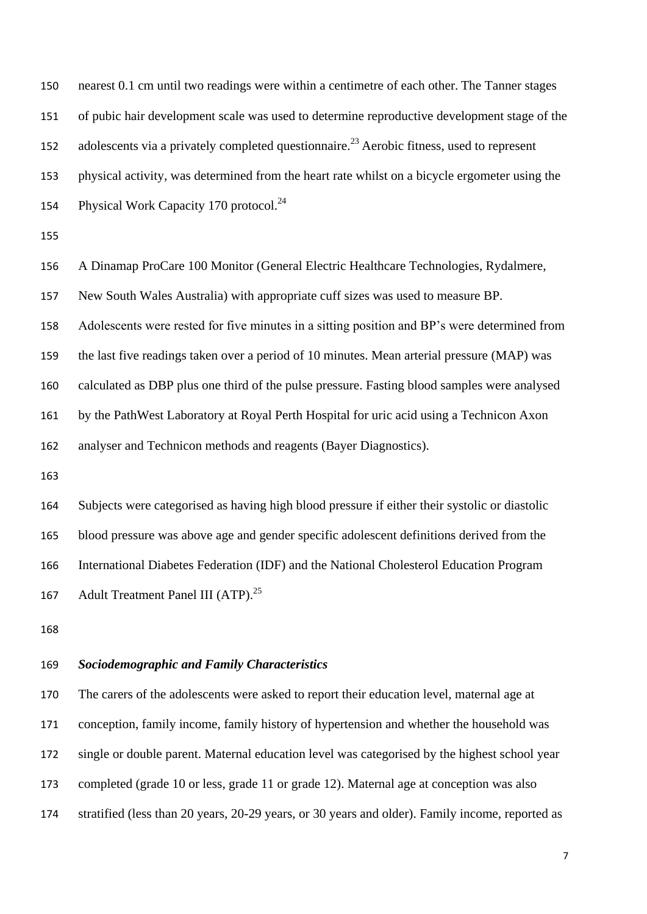nearest 0.1 cm until two readings were within a centimetre of each other. The Tanner stages of pubic hair development scale was used to determine reproductive development stage of the 152 adolescents via a privately completed questionnaire.<sup>[23](#page-20-5)</sup> Aerobic fitness, used to represent physical activity, was determined from the heart rate whilst on a bicycle ergometer using the 154 Physical Work Capacity 170 protocol.

A Dinamap ProCare 100 Monitor (General Electric Healthcare Technologies, Rydalmere,

New South Wales Australia) with appropriate cuff sizes was used to measure BP.

Adolescents were rested for five minutes in a sitting position and BP's were determined from

the last five readings taken over a period of 10 minutes. Mean arterial pressure (MAP) was

calculated as DBP plus one third of the pulse pressure. Fasting blood samples were analysed

by the PathWest Laboratory at Royal Perth Hospital for uric acid using a Technicon Axon

analyser and Technicon methods and reagents (Bayer Diagnostics).

 Subjects were categorised as having high blood pressure if either their systolic or diastolic blood pressure was above age and gender specific adolescent definitions derived from the International Diabetes Federation (IDF) and the National Cholesterol Education Program 167 Adult Treatment Panel III (ATP).<sup>[25](#page-21-1)</sup>

### *Sociodemographic and Family Characteristics*

 The carers of the adolescents were asked to report their education level, maternal age at conception, family income, family history of hypertension and whether the household was single or double parent. Maternal education level was categorised by the highest school year completed (grade 10 or less, grade 11 or grade 12). Maternal age at conception was also stratified (less than 20 years, 20-29 years, or 30 years and older). Family income, reported as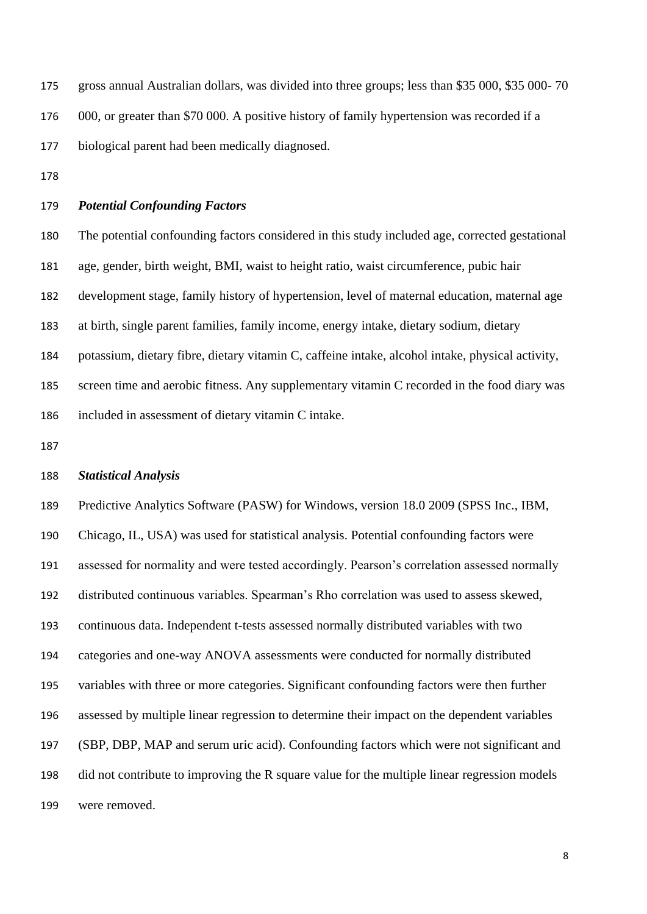gross annual Australian dollars, was divided into three groups; less than \$35 000, \$35 000- 70 176 000, or greater than \$70 000. A positive history of family hypertension was recorded if a biological parent had been medically diagnosed.

#### *Potential Confounding Factors*

 The potential confounding factors considered in this study included age, corrected gestational age, gender, birth weight, BMI, waist to height ratio, waist circumference, pubic hair development stage, family history of hypertension, level of maternal education, maternal age at birth, single parent families, family income, energy intake, dietary sodium, dietary potassium, dietary fibre, dietary vitamin C, caffeine intake, alcohol intake, physical activity, screen time and aerobic fitness. Any supplementary vitamin C recorded in the food diary was included in assessment of dietary vitamin C intake.

#### *Statistical Analysis*

 Predictive Analytics Software (PASW) for Windows, version 18.0 2009 (SPSS Inc., IBM, Chicago, IL, USA) was used for statistical analysis. Potential confounding factors were assessed for normality and were tested accordingly. Pearson's correlation assessed normally distributed continuous variables. Spearman's Rho correlation was used to assess skewed, continuous data. Independent t-tests assessed normally distributed variables with two categories and one-way ANOVA assessments were conducted for normally distributed variables with three or more categories. Significant confounding factors were then further assessed by multiple linear regression to determine their impact on the dependent variables (SBP, DBP, MAP and serum uric acid). Confounding factors which were not significant and did not contribute to improving the R square value for the multiple linear regression models were removed.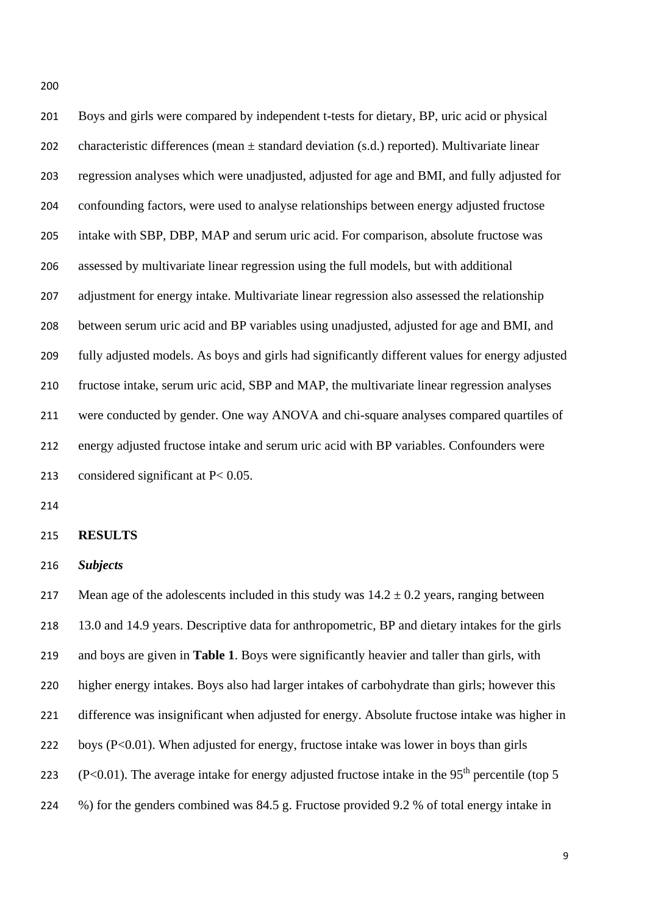Boys and girls were compared by independent t-tests for dietary, BP, uric acid or physical 202 characteristic differences (mean  $\pm$  standard deviation (s.d.) reported). Multivariate linear regression analyses which were unadjusted, adjusted for age and BMI, and fully adjusted for confounding factors, were used to analyse relationships between energy adjusted fructose intake with SBP, DBP, MAP and serum uric acid. For comparison, absolute fructose was assessed by multivariate linear regression using the full models, but with additional adjustment for energy intake. Multivariate linear regression also assessed the relationship between serum uric acid and BP variables using unadjusted, adjusted for age and BMI, and fully adjusted models. As boys and girls had significantly different values for energy adjusted fructose intake, serum uric acid, SBP and MAP, the multivariate linear regression analyses were conducted by gender. One way ANOVA and chi-square analyses compared quartiles of energy adjusted fructose intake and serum uric acid with BP variables. Confounders were considered significant at P< 0.05.

#### **RESULTS**

*Subjects*

217 Mean age of the adolescents included in this study was  $14.2 \pm 0.2$  years, ranging between 13.0 and 14.9 years. Descriptive data for anthropometric, BP and dietary intakes for the girls and boys are given in **Table 1**. Boys were significantly heavier and taller than girls, with higher energy intakes. Boys also had larger intakes of carbohydrate than girls; however this difference was insignificant when adjusted for energy. Absolute fructose intake was higher in boys (P<0.01). When adjusted for energy, fructose intake was lower in boys than girls (P<0.01). The average intake for energy adjusted fructose intake in the 95<sup>th</sup> percentile (top 5 %) for the genders combined was 84.5 g. Fructose provided 9.2 % of total energy intake in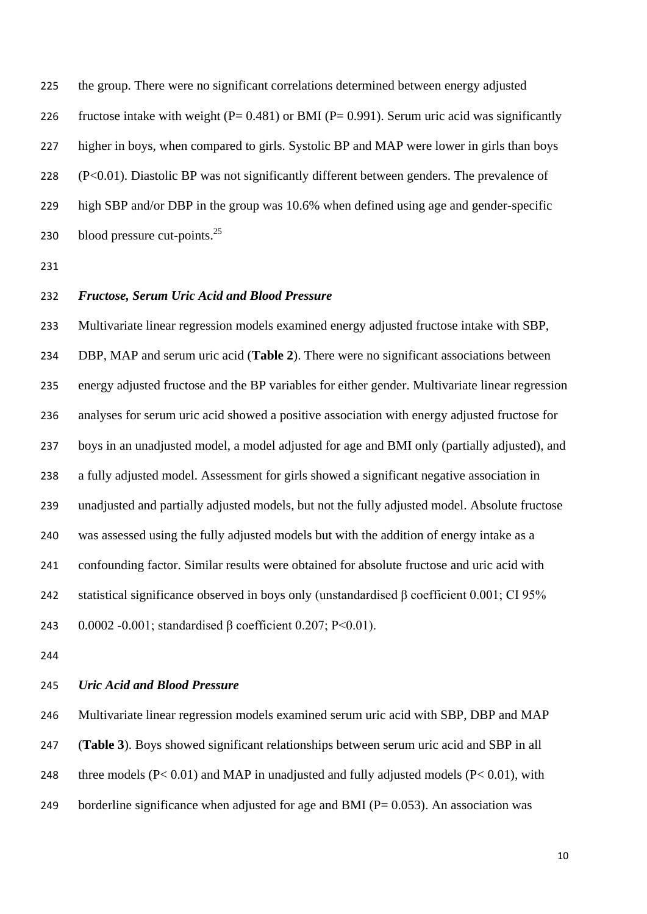the group. There were no significant correlations determined between energy adjusted 226 fructose intake with weight ( $P = 0.481$ ) or BMI ( $P = 0.991$ ). Serum uric acid was significantly higher in boys, when compared to girls. Systolic BP and MAP were lower in girls than boys (P<0.01). Diastolic BP was not significantly different between genders. The prevalence of high SBP and/or DBP in the group was 10.6% when defined using age and gender-specific 230 blood pressure cut-points. $^{25}$  $^{25}$  $^{25}$ 

### *Fructose, Serum Uric Acid and Blood Pressure*

 Multivariate linear regression models examined energy adjusted fructose intake with SBP, DBP, MAP and serum uric acid (**Table 2**). There were no significant associations between energy adjusted fructose and the BP variables for either gender. Multivariate linear regression analyses for serum uric acid showed a positive association with energy adjusted fructose for boys in an unadjusted model, a model adjusted for age and BMI only (partially adjusted), and a fully adjusted model. Assessment for girls showed a significant negative association in unadjusted and partially adjusted models, but not the fully adjusted model. Absolute fructose was assessed using the fully adjusted models but with the addition of energy intake as a confounding factor. Similar results were obtained for absolute fructose and uric acid with statistical significance observed in boys only (unstandardised β coefficient 0.001; CI 95% 0.0002 -0.001; standardised β coefficient 0.207; P<0.01).

#### *Uric Acid and Blood Pressure*

 Multivariate linear regression models examined serum uric acid with SBP, DBP and MAP (**Table 3**). Boys showed significant relationships between serum uric acid and SBP in all 248 three models  $(P< 0.01)$  and MAP in unadjusted and fully adjusted models  $(P< 0.01)$ , with 249 borderline significance when adjusted for age and BMI ( $P = 0.053$ ). An association was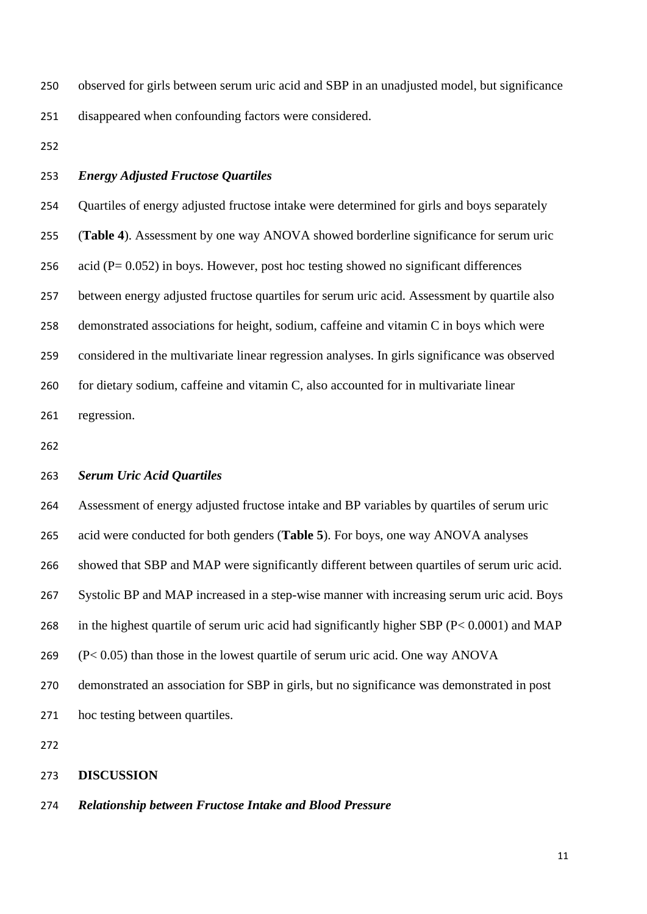observed for girls between serum uric acid and SBP in an unadjusted model, but significance disappeared when confounding factors were considered.

- 
- *Energy Adjusted Fructose Quartiles*

 Quartiles of energy adjusted fructose intake were determined for girls and boys separately (**Table 4**). Assessment by one way ANOVA showed borderline significance for serum uric 256 acid ( $P = 0.052$ ) in boys. However, post hoc testing showed no significant differences between energy adjusted fructose quartiles for serum uric acid. Assessment by quartile also demonstrated associations for height, sodium, caffeine and vitamin C in boys which were considered in the multivariate linear regression analyses. In girls significance was observed for dietary sodium, caffeine and vitamin C, also accounted for in multivariate linear regression.

#### *Serum Uric Acid Quartiles*

Assessment of energy adjusted fructose intake and BP variables by quartiles of serum uric

acid were conducted for both genders (**Table 5**). For boys, one way ANOVA analyses

showed that SBP and MAP were significantly different between quartiles of serum uric acid.

Systolic BP and MAP increased in a step-wise manner with increasing serum uric acid. Boys

- in the highest quartile of serum uric acid had significantly higher SBP (P< 0.0001) and MAP
- (P< 0.05) than those in the lowest quartile of serum uric acid. One way ANOVA

demonstrated an association for SBP in girls, but no significance was demonstrated in post

hoc testing between quartiles.

#### **DISCUSSION**

### *Relationship between Fructose Intake and Blood Pressure*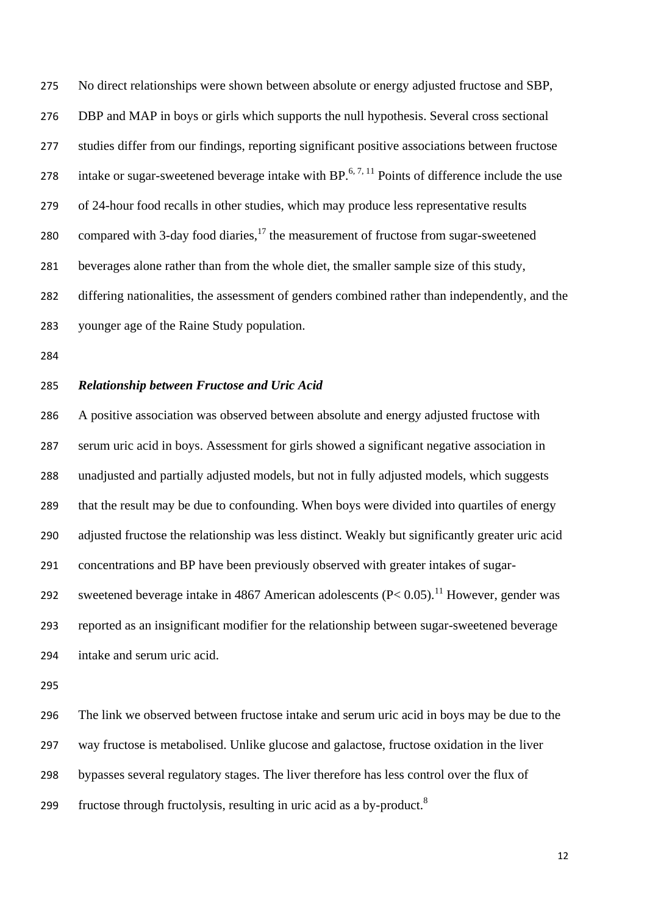No direct relationships were shown between absolute or energy adjusted fructose and SBP, DBP and MAP in boys or girls which supports the null hypothesis. Several cross sectional studies differ from our findings, reporting significant positive associations between fructose 278 intake or sugar-sweetened beverage intake with BP.<sup>[6,](#page-17-5) [7,](#page-18-5) [11](#page-18-3)</sup> Points of difference include the use of 24-hour food recalls in other studies, which may produce less representative results 280 compared with 3-day food diaries, the measurement of fructose from sugar-sweetened beverages alone rather than from the whole diet, the smaller sample size of this study, differing nationalities, the assessment of genders combined rather than independently, and the younger age of the Raine Study population.

### *Relationship between Fructose and Uric Acid*

 A positive association was observed between absolute and energy adjusted fructose with serum uric acid in boys. Assessment for girls showed a significant negative association in unadjusted and partially adjusted models, but not in fully adjusted models, which suggests that the result may be due to confounding. When boys were divided into quartiles of energy adjusted fructose the relationship was less distinct. Weakly but significantly greater uric acid concentrations and BP have been previously observed with greater intakes of sugarsweetened beverage intake in 4867 American adolescents  $(P< 0.05)$ .<sup>[11](#page-18-3)</sup> However, gender was reported as an insignificant modifier for the relationship between sugar-sweetened beverage intake and serum uric acid.

 The link we observed between fructose intake and serum uric acid in boys may be due to the way fructose is metabolised. Unlike glucose and galactose, fructose oxidation in the liver bypasses several regulatory stages. The liver therefore has less control over the flux of fructose through fructolysis, resulting in uric acid as a by-product[.](#page-18-0)<sup>8</sup>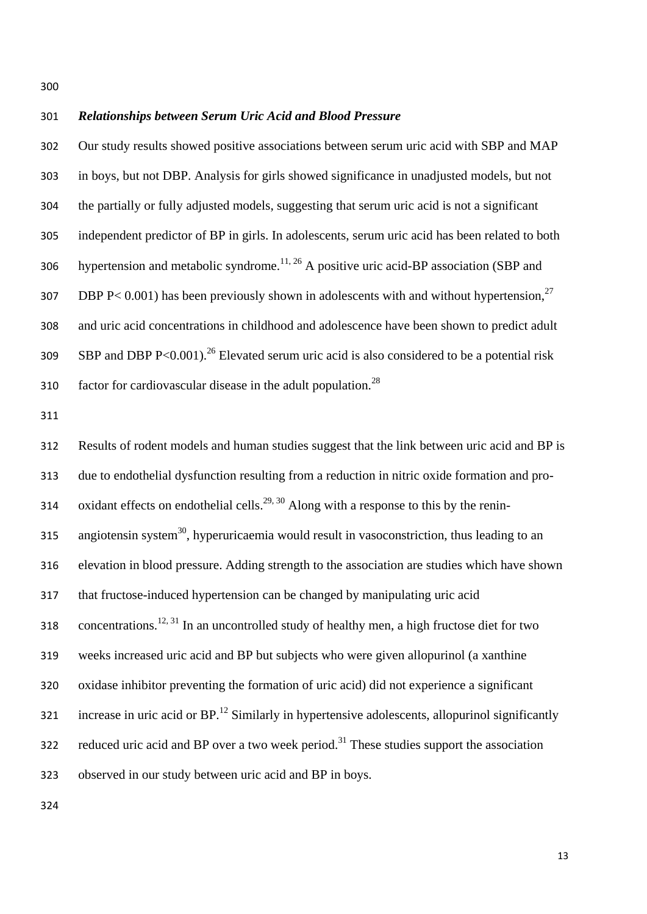#### *Relationships between Serum Uric Acid and Blood Pressure*

 Our study results showed positive associations between serum uric acid with SBP and MAP in boys, but not DBP. Analysis for girls showed significance in unadjusted models, but not the partially or fully adjusted models, suggesting that serum uric acid is not a significant independent predictor of BP in girls. In adolescents, serum uric acid has been related to both 306 hypertension and metabolic syndrome.<sup>[11,](#page-18-3) [26](#page-21-2)</sup> A positive uric acid-BP association (SBP and 307 DBP P< 0.001) has been previously shown in adolescents with and without hypertension, and uric acid concentrations in childhood and adolescence have been shown to predict adult  $S^{309}$  SBP and DBP P<0.001).<sup>[26](#page-21-2)</sup> Elevated serum uric acid is also considered to be a potential risk 310 factor for cardiovascular disease in the adult population.<sup>[28](#page-21-4)</sup>

 Results of rodent models and human studies suggest that the link between uric acid and BP is due to endothelial dysfunction resulting from a reduction in nitric oxide formation and pro-314 oxidant effects on endothelial cells.<sup>[29,](#page-21-5) [30](#page-22-0)</sup> Along with a response to this by the renin-315 angiotensin system<sup>[30](#page-22-0)</sup>, hyperuricaemia would result in vasoconstriction, thus leading to an elevation in blood pressure. Adding strength to the association are studies which have shown that fructose-induced hypertension can be changed by manipulating uric acid 318 concentrations.<sup>[12,](#page-18-4) [31](#page-22-1)</sup> In an uncontrolled study of healthy men, a high fructose diet for two weeks increased uric acid and BP but subjects who were given allopurinol (a xanthine oxidase inhibitor preventing the formation of uric acid) did not experience a significant 321 increase in uric acid or  $BP<sup>12</sup>$  $BP<sup>12</sup>$  $BP<sup>12</sup>$  Similarly in hypertensive adolescents, allopurinol significantly 322 reduced uric acid and BP over a two week period.<sup>[31](#page-22-1)</sup> These studies support the association observed in our study between uric acid and BP in boys.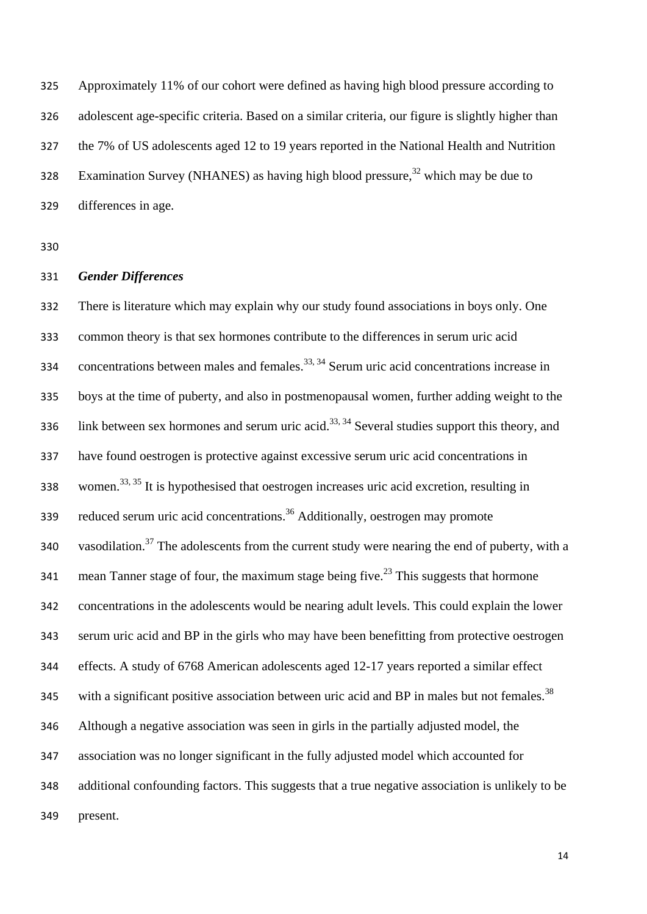Approximately 11% of our cohort were defined as having high blood pressure according to adolescent age-specific criteria. Based on a similar criteria, our figure is slightly higher than the 7% of US adolescents aged 12 to 19 years reported in the National Health and Nutrition Examination Survey (NHANES) as having high blood pressure,  $328$  which may be due to differences in age.

#### *Gender Differences*

 There is literature which may explain why our study found associations in boys only. One common theory is that sex hormones contribute to the differences in serum uric acid 334 concentrations between males and females.<sup>[33,](#page-22-3) [34](#page-22-4)</sup> Serum uric acid concentrations increase in boys at the time of puberty, and also in postmenopausal women, further adding weight to the 336 link between sex hormones and serum uric acid.<sup>[33,](#page-22-3) [34](#page-22-4)</sup> Several studies support this theory, and have found oestrogen is protective against excessive serum uric acid concentrations in 338 women.<sup>[33,](#page-22-3) [35](#page-22-5)</sup> It is hypothesised that oestrogen increases uric acid excretion, resulting in reduced serum uric acid concentrations.[36](#page-23-0) Additionally, oestrogen may promote 340 vasodilation.<sup>[37](#page-23-1)</sup> The adolescents from the current study were nearing the end of puberty, with a 341 mean Tanner stage of four, the maximum stage being five.<sup>[23](#page-20-5)</sup> This suggests that hormone concentrations in the adolescents would be nearing adult levels. This could explain the lower serum uric acid and BP in the girls who may have been benefitting from protective oestrogen effects. A study of 6768 American adolescents aged 12-17 years reported a similar effect 345 with a significant positive association between uric acid and BP in males but not females.<sup>[38](#page-23-2)</sup> Although a negative association was seen in girls in the partially adjusted model, the association was no longer significant in the fully adjusted model which accounted for additional confounding factors. This suggests that a true negative association is unlikely to be present.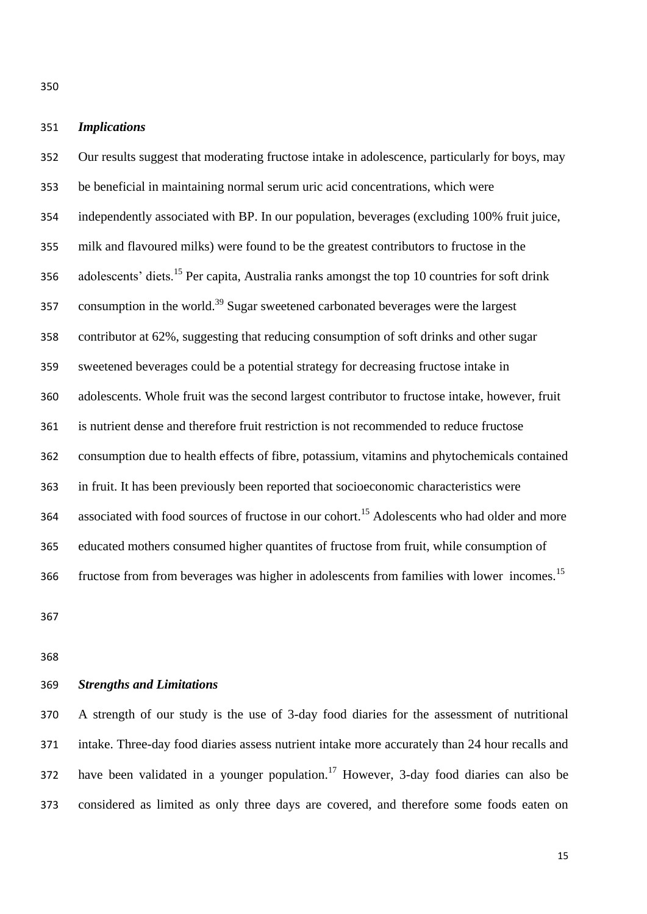### *Implications*

 Our results suggest that moderating fructose intake in adolescence, particularly for boys, may be beneficial in maintaining normal serum uric acid concentrations, which were independently associated with BP. In our population, beverages (excluding 100% fruit juice, milk and flavoured milks) were found to be the greatest contributors to fructose in the 356 adolescents' diets.<sup>[15](#page-19-2)</sup> Per capita, Australia ranks amongst the top 10 countries for soft drink 357 consumption in the world.<sup>[39](#page-23-3)</sup> Sugar sweetened carbonated beverages were the largest contributor at 62%, suggesting that reducing consumption of soft drinks and other sugar sweetened beverages could be a potential strategy for decreasing fructose intake in adolescents. Whole fruit was the second largest contributor to fructose intake, however, fruit is nutrient dense and therefore fruit restriction is not recommended to reduce fructose consumption due to health effects of fibre, potassium, vitamins and phytochemicals contained in fruit. It has been previously been reported that socioeconomic characteristics were 364 associated with food sources of fructose in our cohort.<sup>[15](#page-19-2)</sup> Adolescents who had older and more educated mothers consumed higher quantites of fructose from fruit, while consumption of fructose from from beverages was higher in adolescents from families with lower incomes.[15](#page-19-2)

### *Strengths and Limitations*

 A strength of our study is the use of 3-day food diaries for the assessment of nutritional intake. Three-day food diaries assess nutrient intake more accurately than 24 hour recalls and have been validated in a younger population.<sup>[17](#page-19-4)</sup> However, 3-day food diaries can also be considered as limited as only three days are covered, and therefore some foods eaten on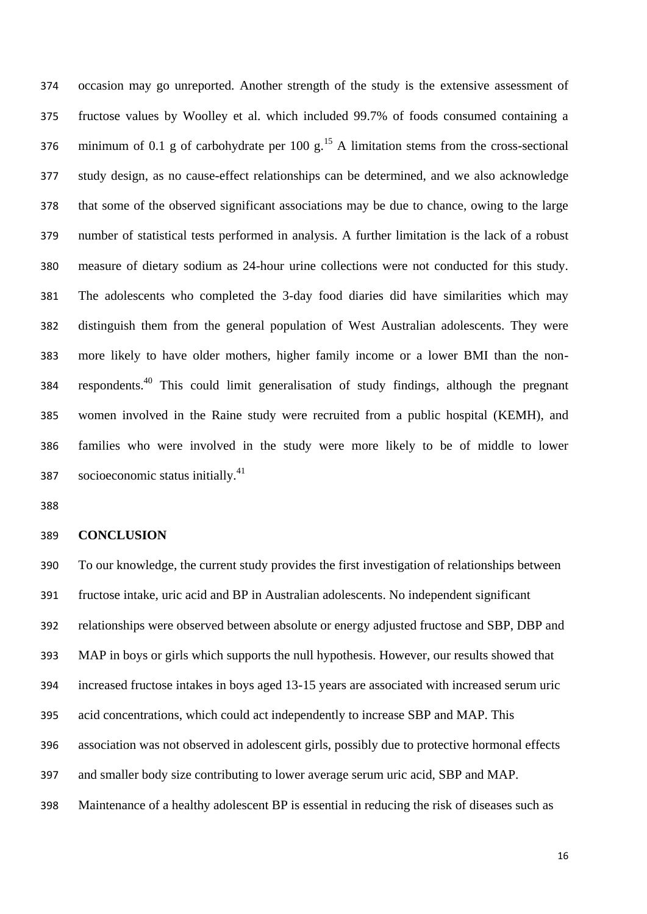occasion may go unreported. Another strength of the study is the extensive assessment of fructose values by Woolley et al. which included 99.7% of foods consumed containing a 376 minimum of 0.1 g of carbohydrate per 100 g.<sup>[15](#page-19-2)</sup> A limitation stems from the cross-sectional study design, as no cause-effect relationships can be determined, and we also acknowledge that some of the observed significant associations may be due to chance, owing to the large number of statistical tests performed in analysis. A further limitation is the lack of a robust measure of dietary sodium as 24-hour urine collections were not conducted for this study. The adolescents who completed the 3-day food diaries did have similarities which may distinguish them from the general population of West Australian adolescents. They were more likely to have older mothers, higher family income or a lower BMI than the nonrespondents.[40](#page-23-4) This could limit generalisation of study findings, although the pregnant women involved in the Raine study were recruited from a public hospital (KEMH), and families who were involved in the study were more likely to be of middle to lower socioeconomic status initially.<sup>[41](#page-24-0)</sup>

#### **CONCLUSION**

 To our knowledge, the current study provides the first investigation of relationships between fructose intake, uric acid and BP in Australian adolescents. No independent significant relationships were observed between absolute or energy adjusted fructose and SBP, DBP and MAP in boys or girls which supports the null hypothesis. However, our results showed that increased fructose intakes in boys aged 13-15 years are associated with increased serum uric acid concentrations, which could act independently to increase SBP and MAP. This association was not observed in adolescent girls, possibly due to protective hormonal effects and smaller body size contributing to lower average serum uric acid, SBP and MAP. Maintenance of a healthy adolescent BP is essential in reducing the risk of diseases such as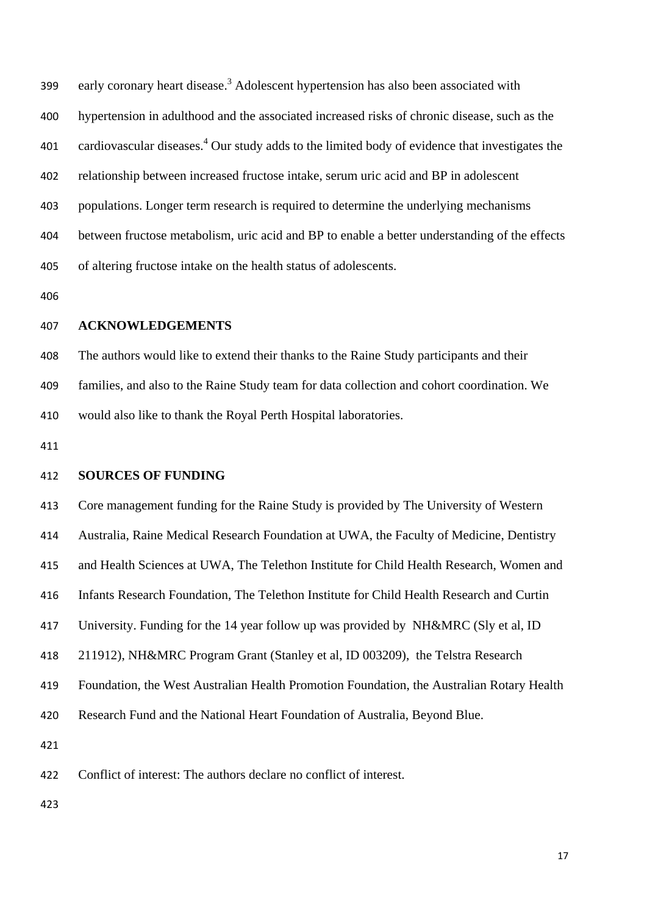99 early coronary heart disease.<sup>3</sup> Adolescent hypertension has also been associated with hypertension in adulthood and the associated increased risks of chronic disease, such as the 01 cardiovascular diseases.<sup>4</sup> Our study adds to the limited body of evidence that investigates the relationship between increased fructose intake, serum uric acid and BP in adolescent populations. Longer term research is required to determine the underlying mechanisms between fructose metabolism, uric acid and BP to enable a better understanding of the effects of altering fructose intake on the health status of adolescents.

#### **ACKNOWLEDGEMENTS**

The authors would like to extend their thanks to the Raine Study participants and their

families, and also to the Raine Study team for data collection and cohort coordination. We

would also like to thank the Royal Perth Hospital laboratories.

#### **SOURCES OF FUNDING**

Core management funding for the Raine Study is provided by The University of Western

Australia, Raine Medical Research Foundation at UWA, the Faculty of Medicine, Dentistry

and Health Sciences at UWA, The Telethon Institute for Child Health Research, Women and

Infants Research Foundation, The Telethon Institute for Child Health Research and Curtin

University. Funding for the 14 year follow up was provided by NH&MRC (Sly et al, ID

211912), NH&MRC Program Grant (Stanley et al, ID 003209), the Telstra Research

Foundation, the West Australian Health Promotion Foundation, the Australian Rotary Health

Research Fund and the National Heart Foundation of Australia, Beyond Blue.

Conflict of interest: The authors declare no conflict of interest.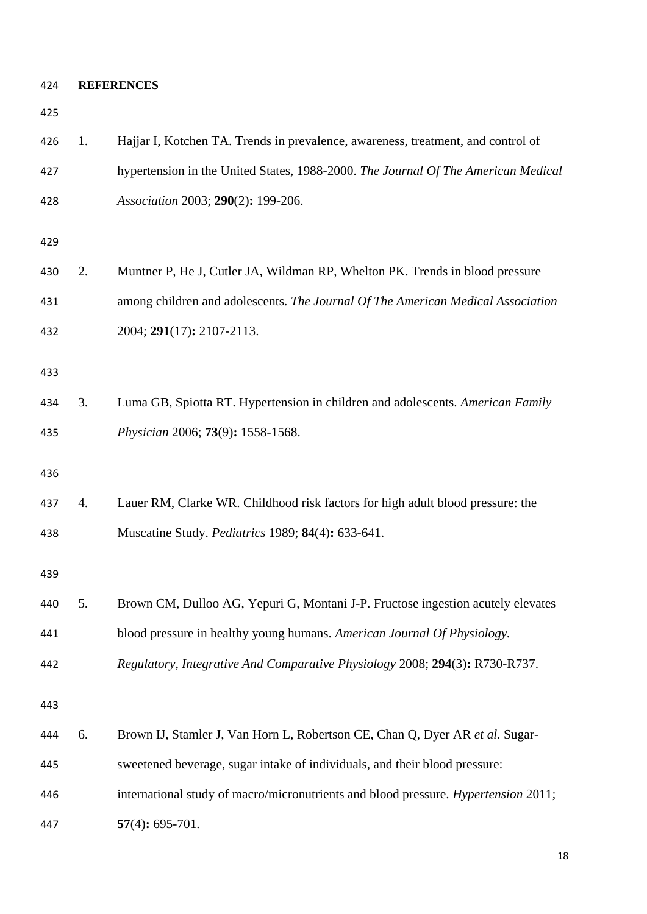**REFERENCES**

<span id="page-17-5"></span><span id="page-17-4"></span><span id="page-17-3"></span><span id="page-17-2"></span><span id="page-17-1"></span><span id="page-17-0"></span>

| 426 | 1. | Hajjar I, Kotchen TA. Trends in prevalence, awareness, treatment, and control of   |
|-----|----|------------------------------------------------------------------------------------|
| 427 |    | hypertension in the United States, 1988-2000. The Journal Of The American Medical  |
| 428 |    | Association 2003; 290(2): 199-206.                                                 |
| 429 |    |                                                                                    |
| 430 | 2. | Muntner P, He J, Cutler JA, Wildman RP, Whelton PK. Trends in blood pressure       |
| 431 |    | among children and adolescents. The Journal Of The American Medical Association    |
| 432 |    | 2004; 291(17): 2107-2113.                                                          |
| 433 |    |                                                                                    |
| 434 | 3. | Luma GB, Spiotta RT. Hypertension in children and adolescents. American Family     |
| 435 |    | Physician 2006; 73(9): 1558-1568.                                                  |
| 436 |    |                                                                                    |
| 437 | 4. | Lauer RM, Clarke WR. Childhood risk factors for high adult blood pressure: the     |
| 438 |    | Muscatine Study. <i>Pediatrics</i> 1989; <b>84</b> (4): 633-641.                   |
| 439 |    |                                                                                    |
| 440 | 5. | Brown CM, Dulloo AG, Yepuri G, Montani J-P. Fructose ingestion acutely elevates    |
| 441 |    | blood pressure in healthy young humans. American Journal Of Physiology.            |
| 442 |    | Regulatory, Integrative And Comparative Physiology 2008; 294(3): R730-R737.        |
| 443 |    |                                                                                    |
| 444 | 6. | Brown IJ, Stamler J, Van Horn L, Robertson CE, Chan Q, Dyer AR et al. Sugar-       |
| 445 |    | sweetened beverage, sugar intake of individuals, and their blood pressure:         |
| 446 |    | international study of macro/micronutrients and blood pressure. Hypertension 2011; |
| 447 |    | $57(4): 695-701.$                                                                  |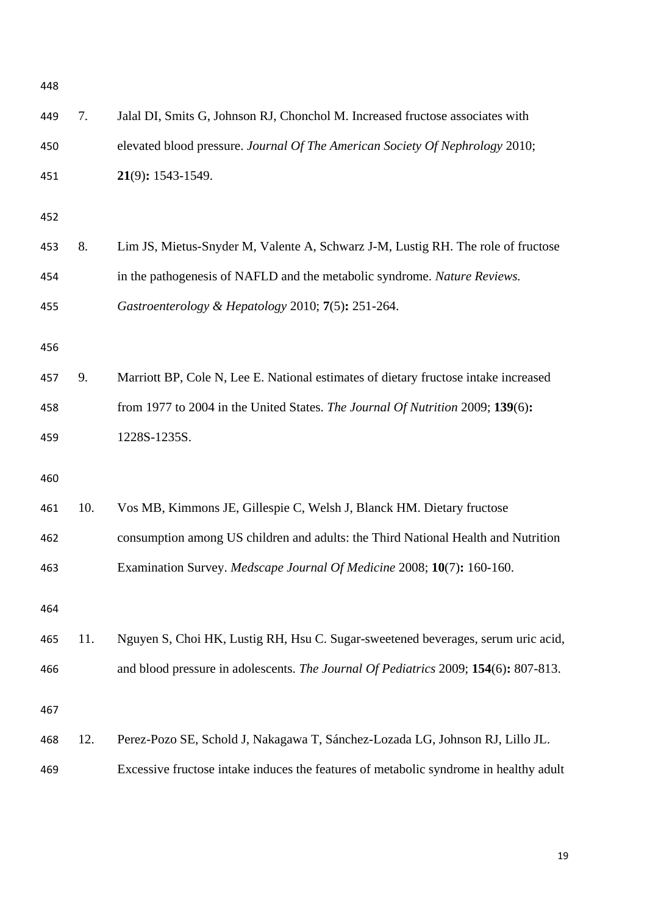<span id="page-18-5"></span><span id="page-18-4"></span><span id="page-18-3"></span><span id="page-18-2"></span><span id="page-18-1"></span><span id="page-18-0"></span>

| 448 |     |                                                                                       |
|-----|-----|---------------------------------------------------------------------------------------|
| 449 | 7.  | Jalal DI, Smits G, Johnson RJ, Chonchol M. Increased fructose associates with         |
| 450 |     | elevated blood pressure. Journal Of The American Society Of Nephrology 2010;          |
| 451 |     | 21(9): 1543-1549.                                                                     |
| 452 |     |                                                                                       |
| 453 | 8.  | Lim JS, Mietus-Snyder M, Valente A, Schwarz J-M, Lustig RH. The role of fructose      |
| 454 |     | in the pathogenesis of NAFLD and the metabolic syndrome. Nature Reviews.              |
| 455 |     | Gastroenterology & Hepatology 2010; 7(5): 251-264.                                    |
|     |     |                                                                                       |
| 456 |     |                                                                                       |
| 457 | 9.  | Marriott BP, Cole N, Lee E. National estimates of dietary fructose intake increased   |
| 458 |     | from 1977 to 2004 in the United States. The Journal Of Nutrition 2009; 139(6):        |
| 459 |     | 1228S-1235S.                                                                          |
| 460 |     |                                                                                       |
| 461 | 10. | Vos MB, Kimmons JE, Gillespie C, Welsh J, Blanck HM. Dietary fructose                 |
| 462 |     | consumption among US children and adults: the Third National Health and Nutrition     |
| 463 |     | Examination Survey. Medscape Journal Of Medicine 2008; 10(7): 160-160.                |
| 464 |     |                                                                                       |
|     |     |                                                                                       |
| 465 | 11. | Nguyen S, Choi HK, Lustig RH, Hsu C. Sugar-sweetened beverages, serum uric acid,      |
| 466 |     | and blood pressure in adolescents. The Journal Of Pediatrics 2009; 154(6): 807-813.   |
| 467 |     |                                                                                       |
| 468 | 12. | Perez-Pozo SE, Schold J, Nakagawa T, Sánchez-Lozada LG, Johnson RJ, Lillo JL.         |
| 469 |     | Excessive fructose intake induces the features of metabolic syndrome in healthy adult |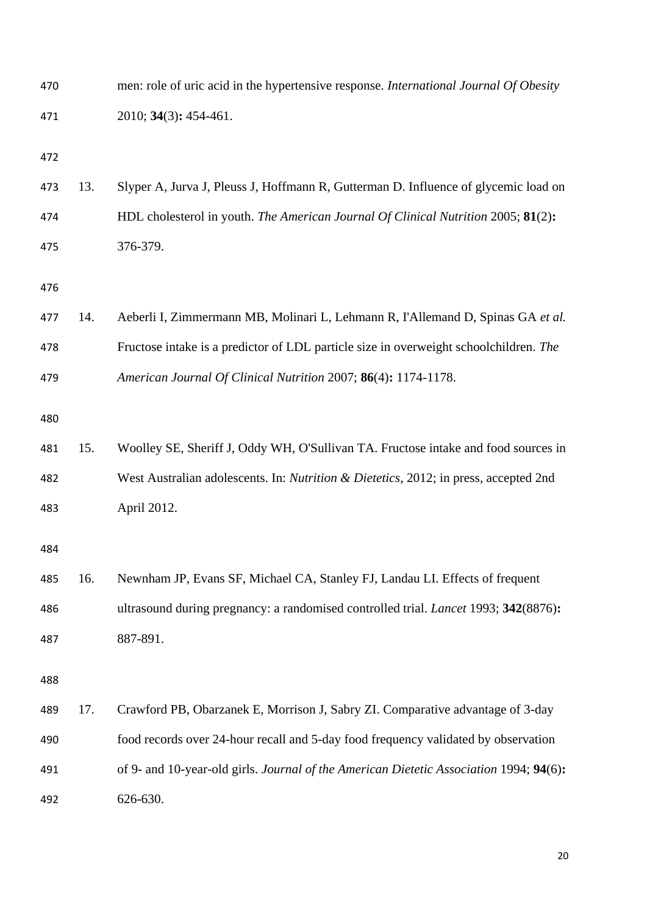<span id="page-19-4"></span><span id="page-19-3"></span><span id="page-19-2"></span><span id="page-19-1"></span><span id="page-19-0"></span>

| 470 |     | men: role of uric acid in the hypertensive response. International Journal Of Obesity  |
|-----|-----|----------------------------------------------------------------------------------------|
| 471 |     | 2010; 34(3): 454-461.                                                                  |
| 472 |     |                                                                                        |
| 473 | 13. | Slyper A, Jurva J, Pleuss J, Hoffmann R, Gutterman D. Influence of glycemic load on    |
| 474 |     | HDL cholesterol in youth. The American Journal Of Clinical Nutrition 2005; 81(2):      |
| 475 |     | 376-379.                                                                               |
| 476 |     |                                                                                        |
| 477 | 14. | Aeberli I, Zimmermann MB, Molinari L, Lehmann R, I'Allemand D, Spinas GA et al.        |
| 478 |     | Fructose intake is a predictor of LDL particle size in overweight schoolchildren. The  |
| 479 |     | American Journal Of Clinical Nutrition 2007; 86(4): 1174-1178.                         |
| 480 |     |                                                                                        |
| 481 | 15. | Woolley SE, Sheriff J, Oddy WH, O'Sullivan TA. Fructose intake and food sources in     |
| 482 |     | West Australian adolescents. In: Nutrition & Dietetics, 2012; in press, accepted 2nd   |
| 483 |     | April 2012.                                                                            |
| 484 |     |                                                                                        |
| 485 | 16. | Newnham JP, Evans SF, Michael CA, Stanley FJ, Landau LI. Effects of frequent           |
| 486 |     | ultrasound during pregnancy: a randomised controlled trial. Lancet 1993; 342(8876):    |
| 487 |     | 887-891.                                                                               |
| 488 |     |                                                                                        |
| 489 | 17. | Crawford PB, Obarzanek E, Morrison J, Sabry ZI. Comparative advantage of 3-day         |
| 490 |     | food records over 24-hour recall and 5-day food frequency validated by observation     |
| 491 |     | of 9- and 10-year-old girls. Journal of the American Dietetic Association 1994; 94(6): |
| 492 |     | 626-630.                                                                               |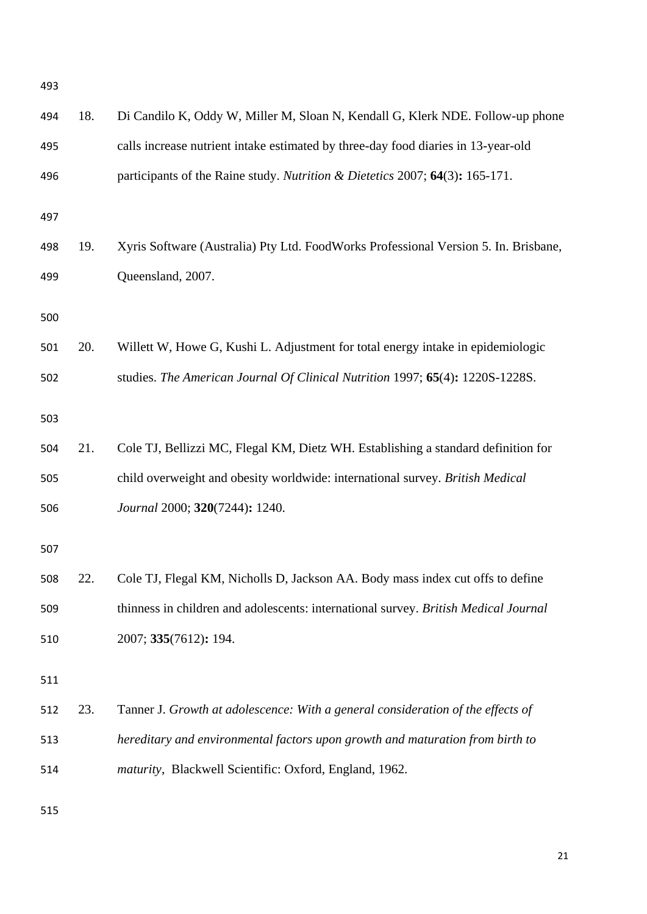<span id="page-20-7"></span><span id="page-20-6"></span><span id="page-20-5"></span><span id="page-20-4"></span><span id="page-20-3"></span><span id="page-20-2"></span><span id="page-20-1"></span><span id="page-20-0"></span>

| 493 |     |                                                                                     |
|-----|-----|-------------------------------------------------------------------------------------|
| 494 | 18. | Di Candilo K, Oddy W, Miller M, Sloan N, Kendall G, Klerk NDE. Follow-up phone      |
| 495 |     | calls increase nutrient intake estimated by three-day food diaries in 13-year-old   |
| 496 |     | participants of the Raine study. Nutrition & Dietetics 2007; 64(3): 165-171.        |
| 497 |     |                                                                                     |
| 498 | 19. | Xyris Software (Australia) Pty Ltd. FoodWorks Professional Version 5. In. Brisbane, |
| 499 |     | Queensland, 2007.                                                                   |
| 500 |     |                                                                                     |
| 501 | 20. | Willett W, Howe G, Kushi L. Adjustment for total energy intake in epidemiologic     |
| 502 |     | studies. The American Journal Of Clinical Nutrition 1997; 65(4): 1220S-1228S.       |
| 503 |     |                                                                                     |
| 504 | 21. | Cole TJ, Bellizzi MC, Flegal KM, Dietz WH. Establishing a standard definition for   |
| 505 |     | child overweight and obesity worldwide: international survey. British Medical       |
| 506 |     | Journal 2000; 320(7244): 1240.                                                      |
| 507 |     |                                                                                     |
| 508 | 22. | Cole TJ, Flegal KM, Nicholls D, Jackson AA. Body mass index cut offs to define      |
| 509 |     | thinness in children and adolescents: international survey. British Medical Journal |
| 510 |     | 2007; 335(7612): 194.                                                               |
| 511 |     |                                                                                     |
| 512 | 23. | Tanner J. Growth at adolescence: With a general consideration of the effects of     |
| 513 |     | hereditary and environmental factors upon growth and maturation from birth to       |
| 514 |     | maturity, Blackwell Scientific: Oxford, England, 1962.                              |
| 515 |     |                                                                                     |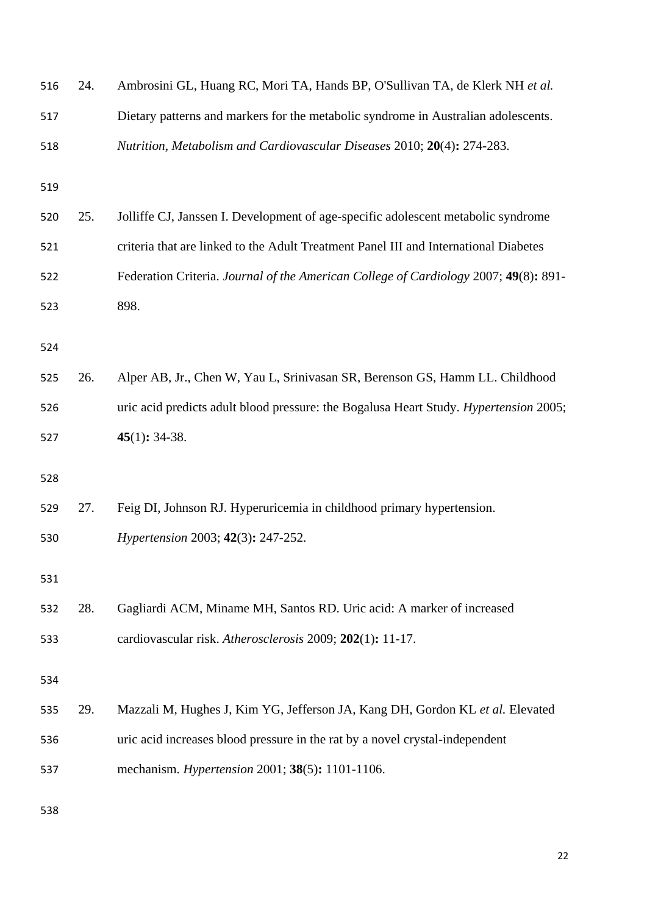<span id="page-21-5"></span><span id="page-21-4"></span><span id="page-21-3"></span><span id="page-21-2"></span><span id="page-21-1"></span><span id="page-21-0"></span>

| 516 | 24. | Ambrosini GL, Huang RC, Mori TA, Hands BP, O'Sullivan TA, de Klerk NH et al.          |
|-----|-----|---------------------------------------------------------------------------------------|
| 517 |     | Dietary patterns and markers for the metabolic syndrome in Australian adolescents.    |
| 518 |     | Nutrition, Metabolism and Cardiovascular Diseases 2010; 20(4): 274-283.               |
| 519 |     |                                                                                       |
| 520 | 25. | Jolliffe CJ, Janssen I. Development of age-specific adolescent metabolic syndrome     |
| 521 |     | criteria that are linked to the Adult Treatment Panel III and International Diabetes  |
| 522 |     | Federation Criteria. Journal of the American College of Cardiology 2007; 49(8): 891-  |
| 523 |     | 898.                                                                                  |
| 524 |     |                                                                                       |
| 525 | 26. | Alper AB, Jr., Chen W, Yau L, Srinivasan SR, Berenson GS, Hamm LL. Childhood          |
| 526 |     | uric acid predicts adult blood pressure: the Bogalusa Heart Study. Hypertension 2005; |
| 527 |     | $45(1): 34-38.$                                                                       |
| 528 |     |                                                                                       |
| 529 | 27. | Feig DI, Johnson RJ. Hyperuricemia in childhood primary hypertension.                 |
| 530 |     | Hypertension 2003; 42(3): 247-252.                                                    |
| 531 |     |                                                                                       |
| 532 | 28. | Gagliardi ACM, Miname MH, Santos RD. Uric acid: A marker of increased                 |
| 533 |     | cardiovascular risk. Atherosclerosis 2009; 202(1): 11-17.                             |
| 534 |     |                                                                                       |
| 535 | 29. | Mazzali M, Hughes J, Kim YG, Jefferson JA, Kang DH, Gordon KL et al. Elevated         |
| 536 |     | uric acid increases blood pressure in the rat by a novel crystal-independent          |
| 537 |     | mechanism. <i>Hypertension</i> 2001; 38(5): 1101-1106.                                |
|     |     |                                                                                       |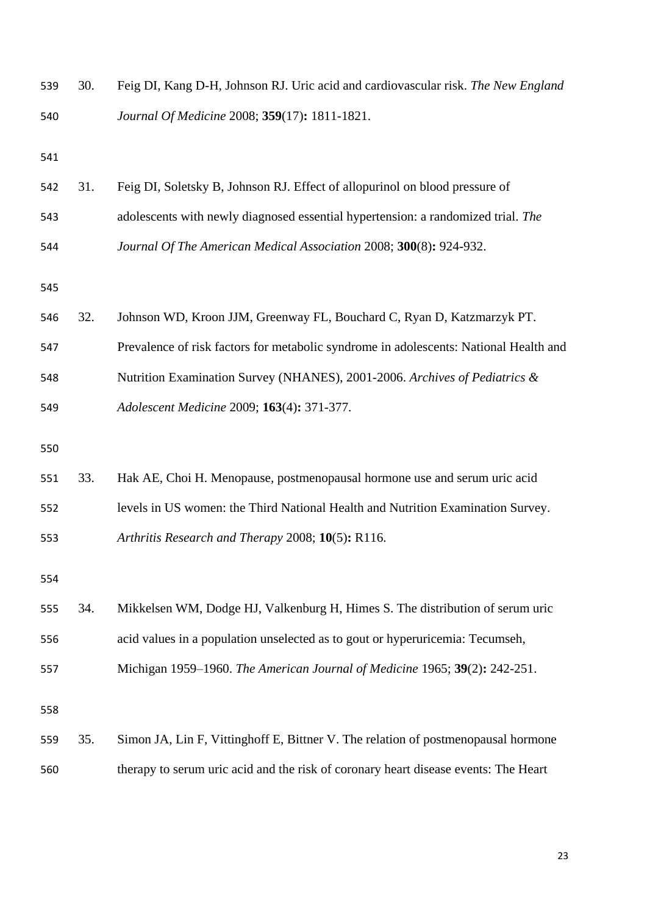<span id="page-22-5"></span><span id="page-22-4"></span><span id="page-22-3"></span><span id="page-22-2"></span><span id="page-22-1"></span><span id="page-22-0"></span>

| 539 | 30. | Feig DI, Kang D-H, Johnson RJ. Uric acid and cardiovascular risk. The New England     |
|-----|-----|---------------------------------------------------------------------------------------|
| 540 |     | Journal Of Medicine 2008; 359(17): 1811-1821.                                         |
| 541 |     |                                                                                       |
| 542 | 31. | Feig DI, Soletsky B, Johnson RJ. Effect of allopurinol on blood pressure of           |
| 543 |     | adolescents with newly diagnosed essential hypertension: a randomized trial. The      |
| 544 |     | Journal Of The American Medical Association 2008; 300(8): 924-932.                    |
| 545 |     |                                                                                       |
| 546 | 32. | Johnson WD, Kroon JJM, Greenway FL, Bouchard C, Ryan D, Katzmarzyk PT.                |
| 547 |     | Prevalence of risk factors for metabolic syndrome in adolescents: National Health and |
| 548 |     | Nutrition Examination Survey (NHANES), 2001-2006. Archives of Pediatrics &            |
| 549 |     | Adolescent Medicine 2009; 163(4): 371-377.                                            |
| 550 |     |                                                                                       |
| 551 | 33. | Hak AE, Choi H. Menopause, postmenopausal hormone use and serum uric acid             |
| 552 |     | levels in US women: the Third National Health and Nutrition Examination Survey.       |
| 553 |     | Arthritis Research and Therapy 2008; 10(5): R116.                                     |
| 554 |     |                                                                                       |
| 555 | 34. | Mikkelsen WM, Dodge HJ, Valkenburg H, Himes S. The distribution of serum uric         |
| 556 |     | acid values in a population unselected as to gout or hyperuricemia: Tecumseh,         |
| 557 |     | Michigan 1959–1960. The American Journal of Medicine 1965; 39(2): 242-251.            |
| 558 |     |                                                                                       |
| 559 | 35. | Simon JA, Lin F, Vittinghoff E, Bittner V. The relation of postmenopausal hormone     |
| 560 |     | therapy to serum uric acid and the risk of coronary heart disease events: The Heart   |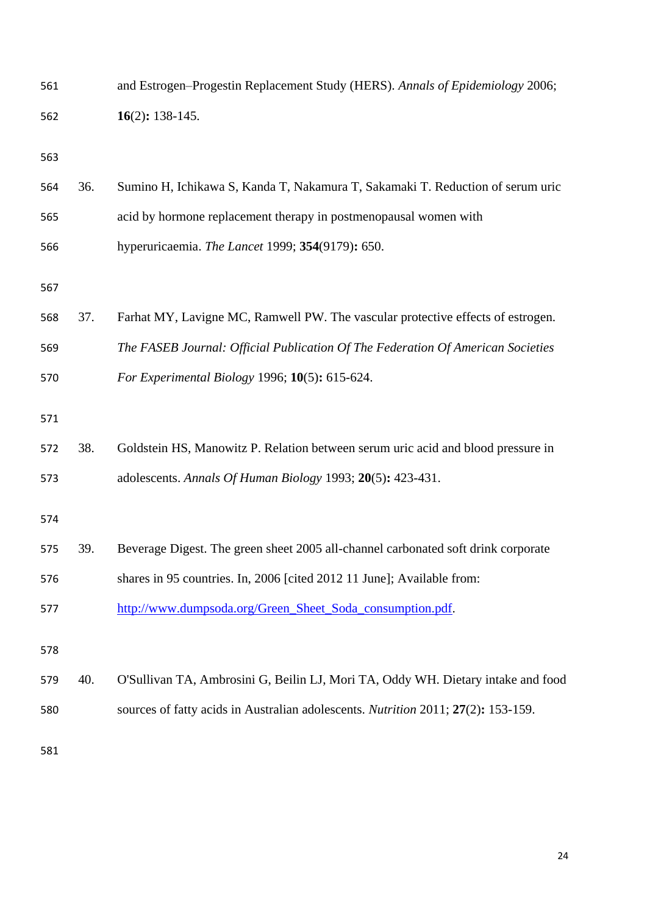<span id="page-23-4"></span><span id="page-23-3"></span><span id="page-23-2"></span><span id="page-23-1"></span><span id="page-23-0"></span>

| 561 |     | and Estrogen-Progestin Replacement Study (HERS). Annals of Epidemiology 2006;     |
|-----|-----|-----------------------------------------------------------------------------------|
| 562 |     | $16(2): 138-145.$                                                                 |
| 563 |     |                                                                                   |
| 564 | 36. | Sumino H, Ichikawa S, Kanda T, Nakamura T, Sakamaki T. Reduction of serum uric    |
| 565 |     | acid by hormone replacement therapy in postmenopausal women with                  |
| 566 |     | hyperuricaemia. The Lancet 1999; 354(9179): 650.                                  |
| 567 |     |                                                                                   |
| 568 | 37. | Farhat MY, Lavigne MC, Ramwell PW. The vascular protective effects of estrogen.   |
| 569 |     | The FASEB Journal: Official Publication Of The Federation Of American Societies   |
| 570 |     | For Experimental Biology 1996; 10(5): 615-624.                                    |
| 571 |     |                                                                                   |
| 572 | 38. | Goldstein HS, Manowitz P. Relation between serum uric acid and blood pressure in  |
| 573 |     | adolescents. Annals Of Human Biology 1993; 20(5): 423-431.                        |
| 574 |     |                                                                                   |
| 575 | 39. | Beverage Digest. The green sheet 2005 all-channel carbonated soft drink corporate |
| 576 |     | shares in 95 countries. In, 2006 [cited 2012 11 June]; Available from:            |
| 577 |     | http://www.dumpsoda.org/Green_Sheet_Soda_consumption.pdf.                         |
| 578 |     |                                                                                   |
| 579 | 40. | O'Sullivan TA, Ambrosini G, Beilin LJ, Mori TA, Oddy WH. Dietary intake and food  |
| 580 |     | sources of fatty acids in Australian adolescents. Nutrition 2011; 27(2): 153-159. |
| 581 |     |                                                                                   |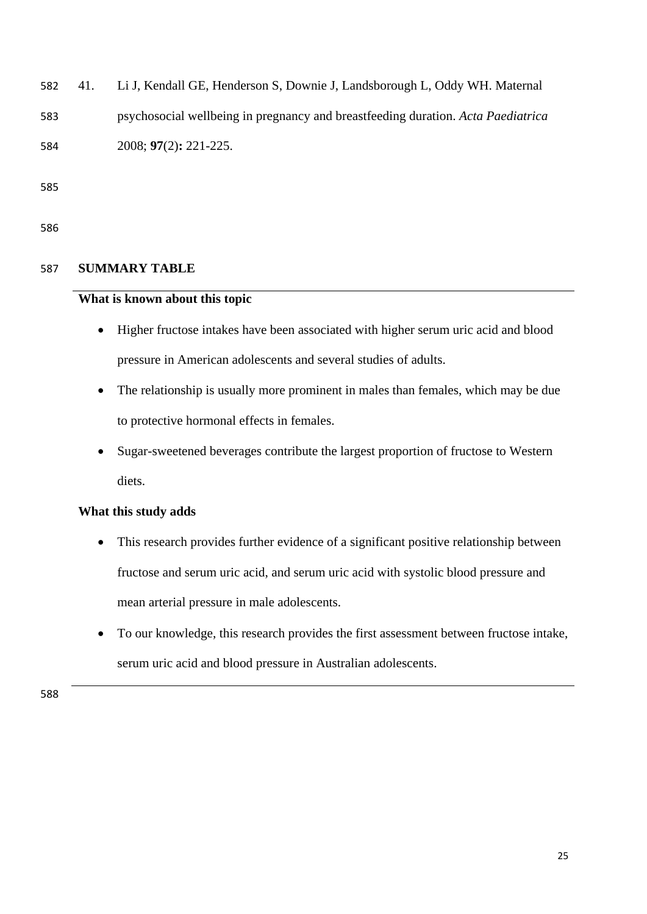<span id="page-24-0"></span>582 41. Li J, Kendall GE, Henderson S, Downie J, Landsborough L, Oddy WH. Maternal

583 psychosocial wellbeing in pregnancy and breastfeeding duration. *Acta Paediatrica* 

584 2008; **97**(2)**:** 221-225.

585

586

# 587 **SUMMARY TABLE**

# **What is known about this topic**

- Higher fructose intakes have been associated with higher serum uric acid and blood pressure in American adolescents and several studies of adults.
- The relationship is usually more prominent in males than females, which may be due to protective hormonal effects in females.
- Sugar-sweetened beverages contribute the largest proportion of fructose to Western diets.

# **What this study adds**

- This research provides further evidence of a significant positive relationship between fructose and serum uric acid, and serum uric acid with systolic blood pressure and mean arterial pressure in male adolescents.
- To our knowledge, this research provides the first assessment between fructose intake, serum uric acid and blood pressure in Australian adolescents.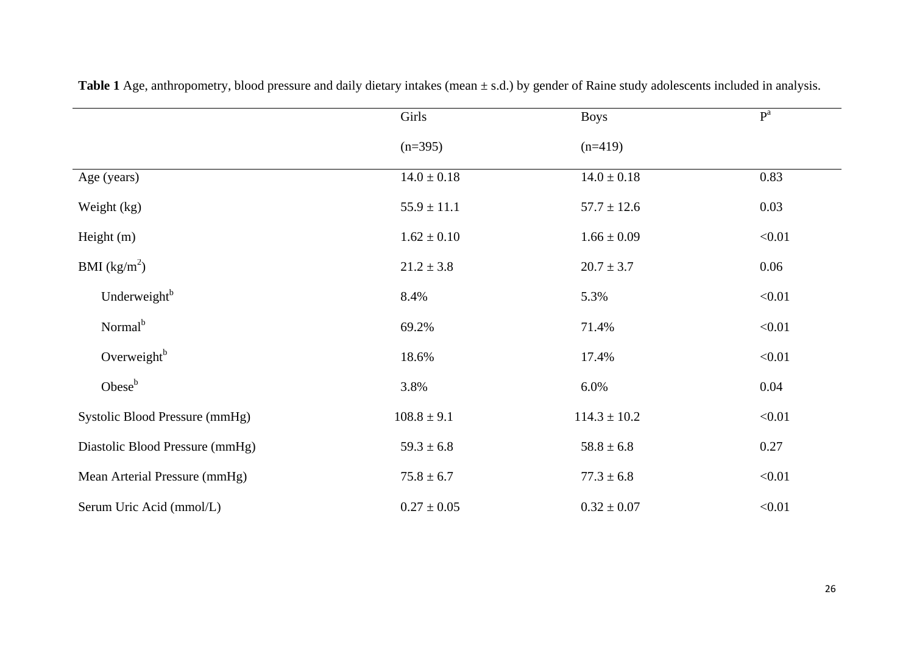|                                 | Girls           | <b>Boys</b>      | $\mathbf{P}^{\text{a}}$ |
|---------------------------------|-----------------|------------------|-------------------------|
|                                 | $(n=395)$       | $(n=419)$        |                         |
| Age (years)                     | $14.0 \pm 0.18$ | $14.0 \pm 0.18$  | 0.83                    |
| Weight (kg)                     | $55.9 \pm 11.1$ | $57.7 \pm 12.6$  | 0.03                    |
| Height $(m)$                    | $1.62 \pm 0.10$ | $1.66 \pm 0.09$  | < 0.01                  |
| BMI $(kg/m^2)$                  | $21.2 \pm 3.8$  | $20.7 \pm 3.7$   | 0.06                    |
| Underweight <sup>b</sup>        | 8.4%            | 5.3%             | < 0.01                  |
| Normal <sup>b</sup>             | 69.2%           | 71.4%            | < 0.01                  |
| Overweight <sup>b</sup>         | 18.6%           | 17.4%            | < 0.01                  |
| Obese <sup>b</sup>              | 3.8%            | 6.0%             | 0.04                    |
| Systolic Blood Pressure (mmHg)  | $108.8 \pm 9.1$ | $114.3 \pm 10.2$ | < 0.01                  |
| Diastolic Blood Pressure (mmHg) | $59.3 \pm 6.8$  | $58.8 \pm 6.8$   | 0.27                    |
| Mean Arterial Pressure (mmHg)   | $75.8 \pm 6.7$  | $77.3 \pm 6.8$   | < 0.01                  |
| Serum Uric Acid (mmol/L)        | $0.27 \pm 0.05$ | $0.32 \pm 0.07$  | < 0.01                  |

Table 1 Age, anthropometry, blood pressure and daily dietary intakes (mean  $\pm$  s.d.) by gender of Raine study adolescents included in analysis.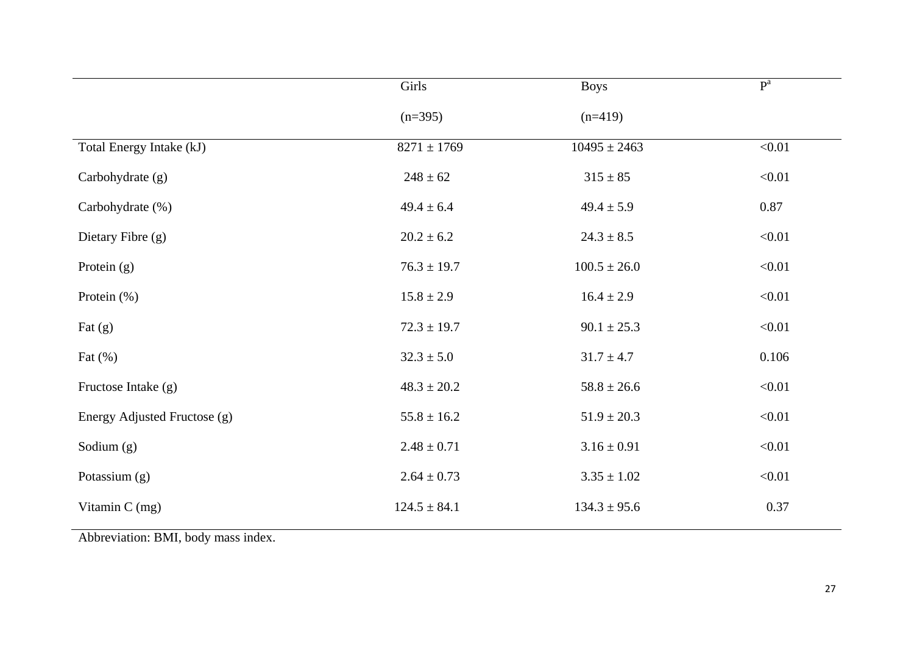|                              | Girls            | <b>Boys</b>      | P <sup>a</sup> |
|------------------------------|------------------|------------------|----------------|
|                              | $(n=395)$        | $(n=419)$        |                |
| Total Energy Intake (kJ)     | $8271 \pm 1769$  | $10495 \pm 2463$ | < 0.01         |
| Carbohydrate (g)             | $248 \pm 62$     | $315 \pm 85$     | < 0.01         |
| Carbohydrate (%)             | $49.4 \pm 6.4$   | $49.4 \pm 5.9$   | 0.87           |
| Dietary Fibre (g)            | $20.2 \pm 6.2$   | $24.3 \pm 8.5$   | < 0.01         |
| Protein $(g)$                | $76.3 \pm 19.7$  | $100.5 \pm 26.0$ | < 0.01         |
| Protein $(\%)$               | $15.8 \pm 2.9$   | $16.4 \pm 2.9$   | < 0.01         |
| Fat $(g)$                    | $72.3 \pm 19.7$  | $90.1 \pm 25.3$  | < 0.01         |
| Fat $(\%)$                   | $32.3 \pm 5.0$   | $31.7 \pm 4.7$   | 0.106          |
| Fructose Intake (g)          | $48.3 \pm 20.2$  | $58.8 \pm 26.6$  | < 0.01         |
| Energy Adjusted Fructose (g) | $55.8 \pm 16.2$  | $51.9 \pm 20.3$  | < 0.01         |
| Sodium (g)                   | $2.48 \pm 0.71$  | $3.16 \pm 0.91$  | < 0.01         |
| Potassium $(g)$              | $2.64 \pm 0.73$  | $3.35 \pm 1.02$  | < 0.01         |
| Vitamin C (mg)               | $124.5 \pm 84.1$ | $134.3 \pm 95.6$ | 0.37           |

Abbreviation: BMI, body mass index.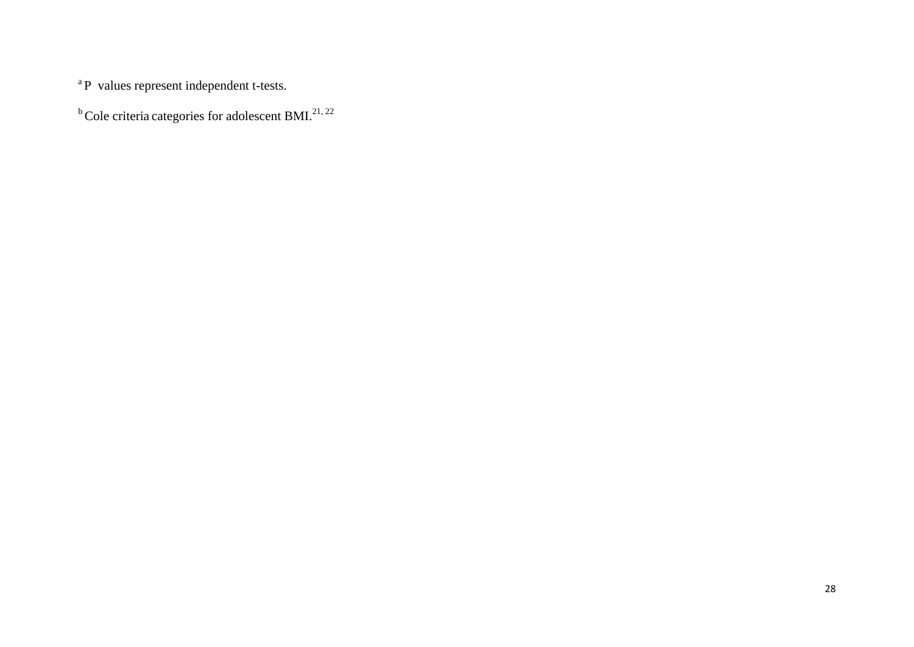<sup>a</sup>P values represent independent t-tests.

 $b^b$ Cole criteria categories for adolescent BMI.<sup>[21,](#page-20-6) [22](#page-20-7)</sup>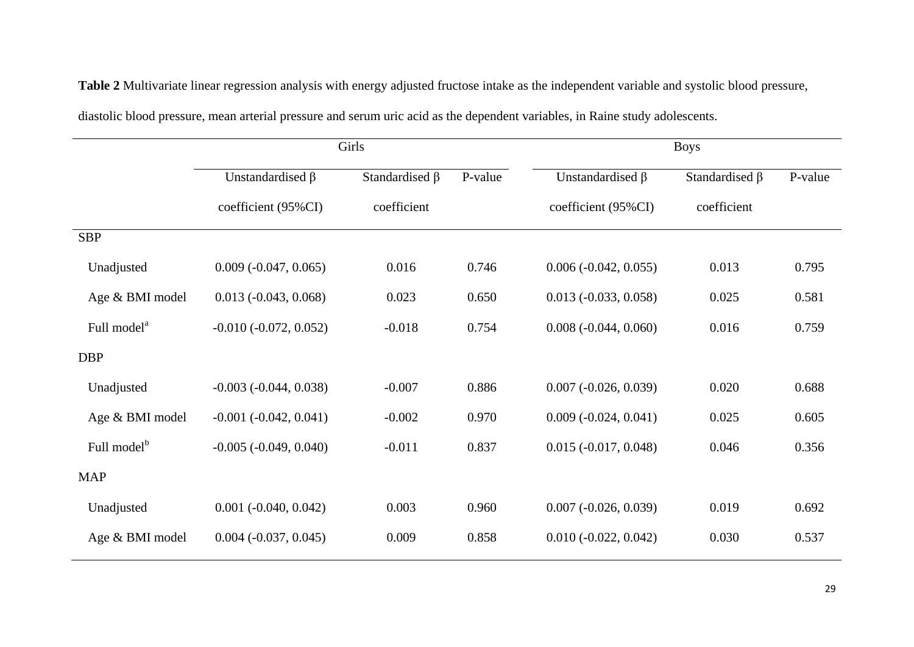|                         | Girls                          |                      |         | <b>Boys</b>                    |                      |         |
|-------------------------|--------------------------------|----------------------|---------|--------------------------------|----------------------|---------|
|                         | Unstandardised $\beta$         | Standardised $\beta$ | P-value | Unstandardised $\beta$         | Standardised $\beta$ | P-value |
|                         | coefficient (95%CI)            | coefficient          |         | coefficient (95%CI)            | coefficient          |         |
| <b>SBP</b>              |                                |                      |         |                                |                      |         |
| Unadjusted              | $0.009$ ( $-0.047$ , $0.065$ ) | 0.016                | 0.746   | $0.006 (-0.042, 0.055)$        | 0.013                | 0.795   |
| Age & BMI model         | $0.013 (-0.043, 0.068)$        | 0.023                | 0.650   | $0.013 (-0.033, 0.058)$        | 0.025                | 0.581   |
| Full model <sup>a</sup> | $-0.010 (-0.072, 0.052)$       | $-0.018$             | 0.754   | $0.008$ ( $-0.044$ , $0.060$ ) | 0.016                | 0.759   |
| <b>DBP</b>              |                                |                      |         |                                |                      |         |
| Unadjusted              | $-0.003$ $(-0.044, 0.038)$     | $-0.007$             | 0.886   | $0.007$ ( $-0.026$ , $0.039$ ) | 0.020                | 0.688   |
| Age & BMI model         | $-0.001 (-0.042, 0.041)$       | $-0.002$             | 0.970   | $0.009$ ( $-0.024$ , $0.041$ ) | 0.025                | 0.605   |
| Full model <sup>b</sup> | $-0.005$ $(-0.049, 0.040)$     | $-0.011$             | 0.837   | $0.015 (-0.017, 0.048)$        | 0.046                | 0.356   |
| <b>MAP</b>              |                                |                      |         |                                |                      |         |
| Unadjusted              | $0.001$ ( $-0.040$ , $0.042$ ) | 0.003                | 0.960   | $0.007$ ( $-0.026$ , $0.039$ ) | 0.019                | 0.692   |
| Age & BMI model         | $0.004$ ( $-0.037$ , $0.045$ ) | 0.009                | 0.858   | $0.010 (-0.022, 0.042)$        | 0.030                | 0.537   |

**Table 2** Multivariate linear regression analysis with energy adjusted fructose intake as the independent variable and systolic blood pressure,

diastolic blood pressure, mean arterial pressure and serum uric acid as the dependent variables, in Raine study adolescents.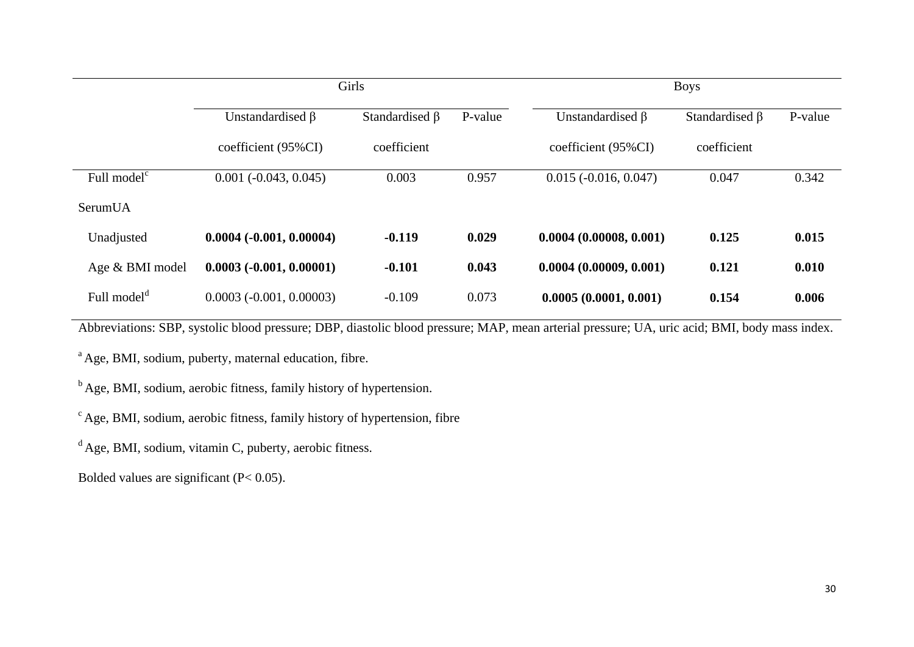|                         | Girls                      |                      |         | <b>Boys</b>             |                      |         |
|-------------------------|----------------------------|----------------------|---------|-------------------------|----------------------|---------|
|                         | Unstandardised $\beta$     | Standardised $\beta$ | P-value | Unstandardised $\beta$  | Standardised $\beta$ | P-value |
|                         | coefficient (95%CI)        | coefficient          |         | coefficient (95%CI)     | coefficient          |         |
| Full model <sup>c</sup> | $0.001 (-0.043, 0.045)$    | 0.003                | 0.957   | $0.015 (-0.016, 0.047)$ | 0.047                | 0.342   |
| SerumUA                 |                            |                      |         |                         |                      |         |
| Unadjusted              | $0.0004 (-0.001, 0.00004)$ | $-0.119$             | 0.029   | 0.0004(0.00008, 0.001)  | 0.125                | 0.015   |
| Age & BMI model         | $0.0003 (-0.001, 0.00001)$ | $-0.101$             | 0.043   | 0.0004(0.00009, 0.001)  | 0.121                | 0.010   |
| Full model <sup>d</sup> | $0.0003(-0.001, 0.00003)$  | $-0.109$             | 0.073   | 0.0005(0.0001, 0.001)   | 0.154                | 0.006   |

Abbreviations: SBP, systolic blood pressure; DBP, diastolic blood pressure; MAP, mean arterial pressure; UA, uric acid; BMI, body mass index.

<sup>a</sup> Age, BMI, sodium, puberty, maternal education, fibre.

 $<sup>b</sup>$  Age, BMI, sodium, aerobic fitness, family history of hypertension.</sup>

 $\textdegree$  Age, BMI, sodium, aerobic fitness, family history of hypertension, fibre

 $d$  Age, BMI, sodium, vitamin C, puberty, aerobic fitness.

Bolded values are significant (P< 0.05).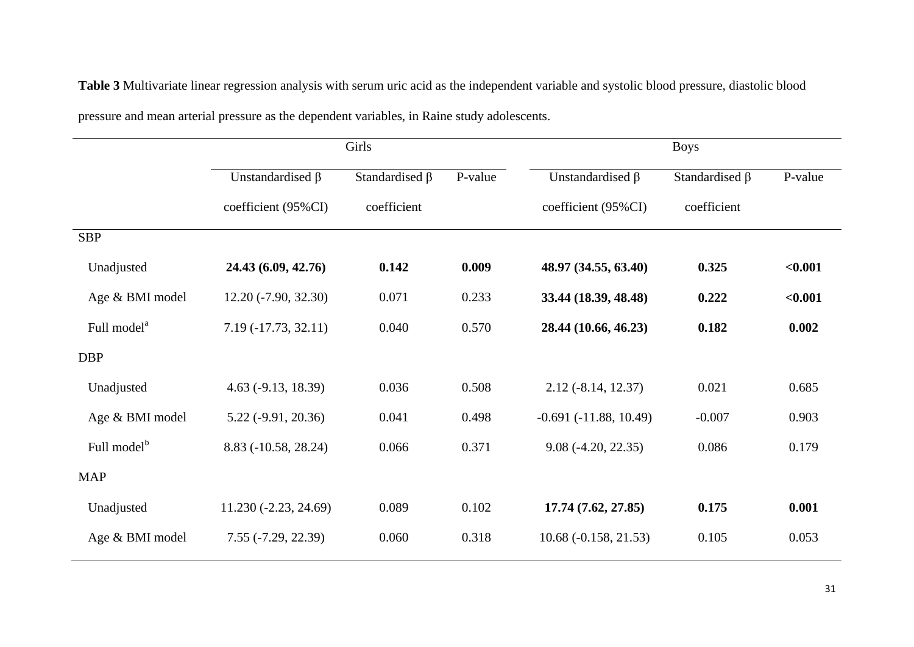Girls Boys Unstandardised β coefficient (95%CI) Standardised β coefficient P-value Unstandardised β coefficient (95%CI) Standardised β coefficient P-value SBP Unadjusted **24.43 (6.09, 42.76) 0.142 0.009 48.97 (34.55, 63.40) 0.325 <0.001** Age & BMI model 12.20 (-7.90, 32.30) 0.071 0.233 **33.44 (18.39, 48.48) 0.222 <0.001** Full model<sup>a</sup> 7.19 (-17.73, 32.11) 0.040 0.570 **28.44 (10.66, 46.23) 0.182 0.002** DBP Unadjusted 4.63 (-9.13, 18.39) 0.036 0.508 2.12 (-8.14, 12.37) 0.021 0.685 Age & BMI model 5.22 (-9.91, 20.36) 0.041 0.498 -0.691 (-11.88, 10.49) -0.007 0.903 Full model $<sup>b</sup>$ </sup> 8.83 (-10.58, 28.24) 0.066 0.371 9.08 (-4.20, 22.35) 0.086 0.179 MAP Unadjusted 11.230 (-2.23, 24.69) 0.089 0.102 **17.74 (7.62, 27.85) 0.175 0.001** Age & BMI model  $7.55 (-7.29, 22.39)$   $0.060$   $0.318$   $10.68 (-0.158, 21.53)$   $0.105$   $0.053$ 

**Table 3** Multivariate linear regression analysis with serum uric acid as the independent variable and systolic blood pressure, diastolic blood

pressure and mean arterial pressure as the dependent variables, in Raine study adolescents.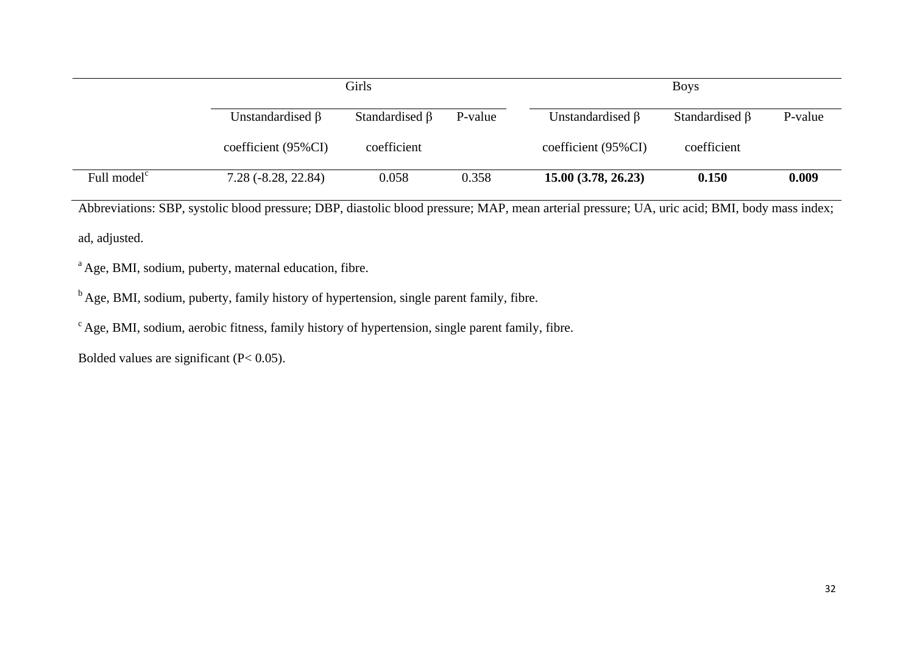|                         | Girls                  |                      |         | <b>Boys</b>             |                      |         |
|-------------------------|------------------------|----------------------|---------|-------------------------|----------------------|---------|
|                         | Unstandardised $\beta$ | Standardised $\beta$ | P-value | Unstandardised $\beta$  | Standardised $\beta$ | P-value |
|                         | coefficient $(95\%CI)$ | coefficient          |         | $coefficient (95\% CI)$ | coefficient          |         |
| Full model <sup>c</sup> | $7.28(-8.28, 22.84)$   | 0.058                | 0.358   | 15.00(3.78, 26.23)      | 0.150                | 0.009   |

Abbreviations: SBP, systolic blood pressure; DBP, diastolic blood pressure; MAP, mean arterial pressure; UA, uric acid; BMI, body mass index; ad, adjusted.

<sup>a</sup> Age, BMI, sodium, puberty, maternal education, fibre.

 $<sup>b</sup>$  Age, BMI, sodium, puberty, family history of hypertension, single parent family, fibre.</sup>

 $\textdegree$  Age, BMI, sodium, aerobic fitness, family history of hypertension, single parent family, fibre.

Bolded values are significant (P< 0.05).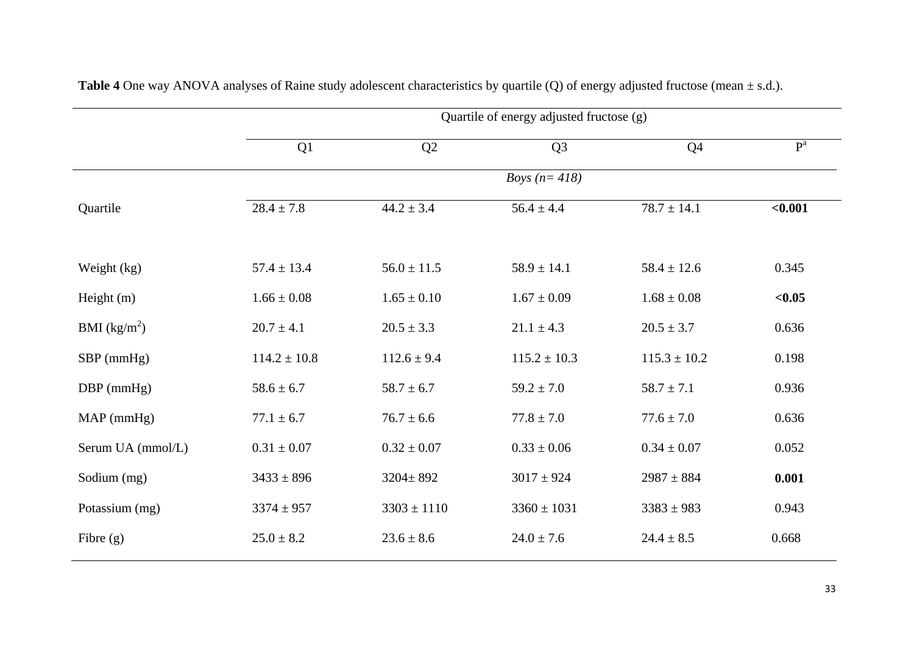|                   | Quartile of energy adjusted fructose (g) |                 |                  |                  |         |  |
|-------------------|------------------------------------------|-----------------|------------------|------------------|---------|--|
|                   | Q1                                       | Q2              | Q3               | Q <sub>4</sub>   | $P^a$   |  |
|                   |                                          |                 | Boys $(n=418)$   |                  |         |  |
| Quartile          | $28.4 \pm 7.8$                           | $44.2 \pm 3.4$  | $56.4 \pm 4.4$   | $78.7 \pm 14.1$  | $0.001$ |  |
|                   |                                          |                 |                  |                  |         |  |
| Weight (kg)       | $57.4 \pm 13.4$                          | $56.0 \pm 11.5$ | $58.9 \pm 14.1$  | $58.4 \pm 12.6$  | 0.345   |  |
| Height (m)        | $1.66 \pm 0.08$                          | $1.65 \pm 0.10$ | $1.67 \pm 0.09$  | $1.68 \pm 0.08$  | < 0.05  |  |
| BMI $(kg/m^2)$    | $20.7 \pm 4.1$                           | $20.5 \pm 3.3$  | $21.1 \pm 4.3$   | $20.5 \pm 3.7$   | 0.636   |  |
| $SBP$ (mmHg)      | $114.2 \pm 10.8$                         | $112.6 \pm 9.4$ | $115.2 \pm 10.3$ | $115.3 \pm 10.2$ | 0.198   |  |
| $DBP$ (mmHg)      | $58.6 \pm 6.7$                           | $58.7 \pm 6.7$  | $59.2 \pm 7.0$   | $58.7 \pm 7.1$   | 0.936   |  |
| $MAP$ (mmHg)      | $77.1 \pm 6.7$                           | $76.7 \pm 6.6$  | $77.8 \pm 7.0$   | $77.6 \pm 7.0$   | 0.636   |  |
| Serum UA (mmol/L) | $0.31\pm0.07$                            | $0.32 \pm 0.07$ | $0.33 \pm 0.06$  | $0.34 \pm 0.07$  | 0.052   |  |
| Sodium (mg)       | $3433 \pm 896$                           | $3204 \pm 892$  | $3017 \pm 924$   | $2987 \pm 884$   | 0.001   |  |
| Potassium (mg)    | $3374 \pm 957$                           | $3303 \pm 1110$ | $3360 \pm 1031$  | $3383 \pm 983$   | 0.943   |  |
| Fibre $(g)$       | $25.0 \pm 8.2$                           | $23.6 \pm 8.6$  | $24.0 \pm 7.6$   | $24.4 \pm 8.5$   | 0.668   |  |

**Table 4** One way ANOVA analyses of Raine study adolescent characteristics by quartile (Q) of energy adjusted fructose (mean ± s.d.).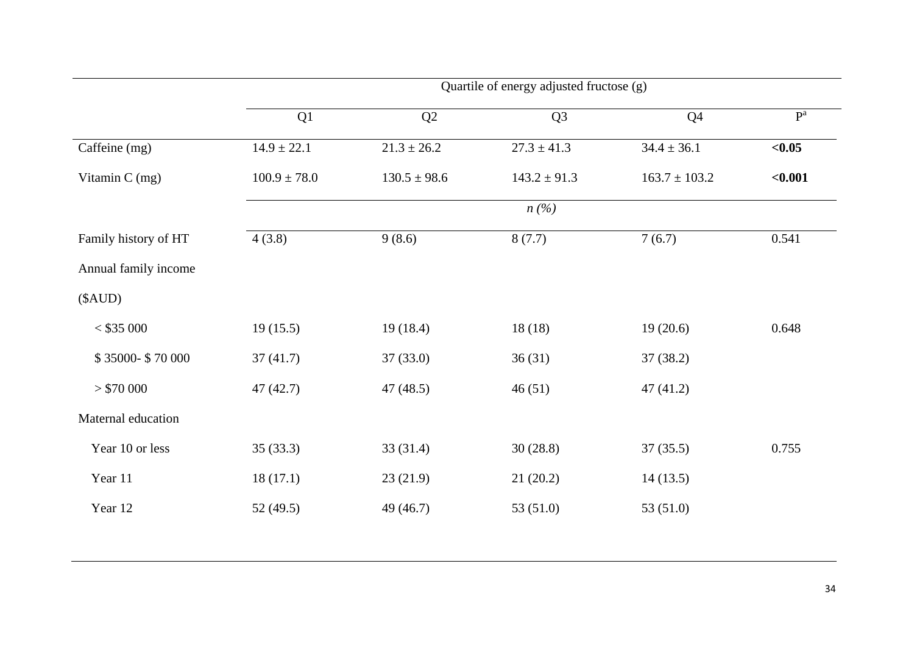|                      | Quartile of energy adjusted fructose (g) |                  |                  |                   |         |  |
|----------------------|------------------------------------------|------------------|------------------|-------------------|---------|--|
|                      | Q1                                       | Q2               | Q <sub>3</sub>   | Q <sub>4</sub>    | $P^a$   |  |
| Caffeine (mg)        | $14.9 \pm 22.1$                          | $21.3 \pm 26.2$  | $27.3 \pm 41.3$  | $34.4 \pm 36.1$   | < 0.05  |  |
| Vitamin C (mg)       | $100.9 \pm 78.0$                         | $130.5 \pm 98.6$ | $143.2 \pm 91.3$ | $163.7 \pm 103.2$ | < 0.001 |  |
|                      |                                          |                  | n(%)             |                   |         |  |
| Family history of HT | 4(3.8)                                   | 9(8.6)           | 8(7.7)           | 7(6.7)            | 0.541   |  |
| Annual family income |                                          |                  |                  |                   |         |  |
| (SAUD)               |                                          |                  |                  |                   |         |  |
| $<$ \$35 000         | 19(15.5)                                 | 19(18.4)         | 18(18)           | 19(20.6)          | 0.648   |  |
| \$35000-\$70000      | 37(41.7)                                 | 37(33.0)         | 36(31)           | 37(38.2)          |         |  |
| > \$70,000           | 47(42.7)                                 | 47(48.5)         | 46(51)           | 47(41.2)          |         |  |
| Maternal education   |                                          |                  |                  |                   |         |  |
| Year 10 or less      | 35(33.3)                                 | 33(31.4)         | 30(28.8)         | 37(35.5)          | 0.755   |  |
| Year 11              | 18(17.1)                                 | 23(21.9)         | 21(20.2)         | 14(13.5)          |         |  |
| Year 12              | 52(49.5)                                 | 49 (46.7)        | 53 $(51.0)$      | 53 (51.0)         |         |  |
|                      |                                          |                  |                  |                   |         |  |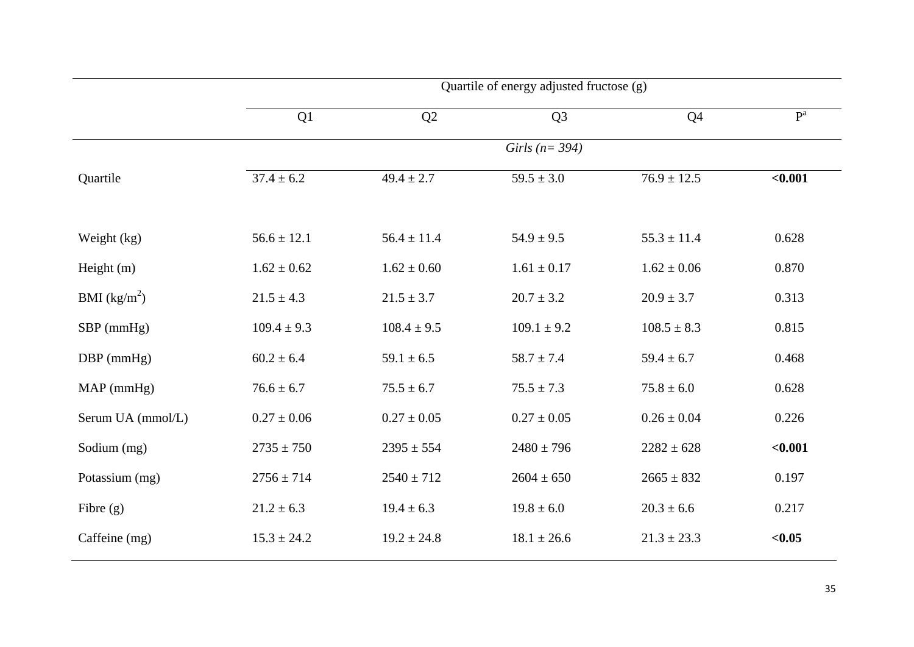|                   | Quartile of energy adjusted fructose (g) |                 |                     |                 |         |  |
|-------------------|------------------------------------------|-----------------|---------------------|-----------------|---------|--|
|                   | Q1                                       | Q2              | Q <sub>3</sub>      | Q <sub>4</sub>  | $P^a$   |  |
|                   |                                          |                 | Girls ( $n = 394$ ) |                 |         |  |
| Quartile          | $37.4 \pm 6.2$                           | $49.4 \pm 2.7$  | $59.5 \pm 3.0$      | $76.9 \pm 12.5$ | < 0.001 |  |
| Weight (kg)       | $56.6 \pm 12.1$                          | $56.4 \pm 11.4$ | $54.9 \pm 9.5$      | $55.3 \pm 11.4$ | 0.628   |  |
| Height (m)        | $1.62 \pm 0.62$                          | $1.62 \pm 0.60$ | $1.61 \pm 0.17$     | $1.62 \pm 0.06$ | 0.870   |  |
| BMI $(kg/m^2)$    | $21.5 \pm 4.3$                           | $21.5 \pm 3.7$  | $20.7 \pm 3.2$      | $20.9 \pm 3.7$  | 0.313   |  |
| $SBP$ (mmHg)      | $109.4 \pm 9.3$                          | $108.4 \pm 9.5$ | $109.1 \pm 9.2$     | $108.5 \pm 8.3$ | 0.815   |  |
| $DBP$ (mmHg)      | $60.2 \pm 6.4$                           | $59.1 \pm 6.5$  | $58.7 \pm 7.4$      | $59.4 \pm 6.7$  | 0.468   |  |
| $MAP$ (mmHg)      | $76.6 \pm 6.7$                           | $75.5 \pm 6.7$  | $75.5 \pm 7.3$      | $75.8 \pm 6.0$  | 0.628   |  |
| Serum UA (mmol/L) | $0.27 \pm 0.06$                          | $0.27 \pm 0.05$ | $0.27 \pm 0.05$     | $0.26 \pm 0.04$ | 0.226   |  |
| Sodium (mg)       | $2735 \pm 750$                           | $2395 \pm 554$  | $2480 \pm 796$      | $2282 \pm 628$  | < 0.001 |  |
| Potassium (mg)    | $2756 \pm 714$                           | $2540 \pm 712$  | $2604 \pm 650$      | $2665 \pm 832$  | 0.197   |  |
| Fibre $(g)$       | $21.2 \pm 6.3$                           | $19.4 \pm 6.3$  | $19.8 \pm 6.0$      | $20.3 \pm 6.6$  | 0.217   |  |
| Caffeine (mg)     | $15.3 \pm 24.2$                          | $19.2 \pm 24.8$ | $18.1 \pm 26.6$     | $21.3 \pm 23.3$ | < 0.05  |  |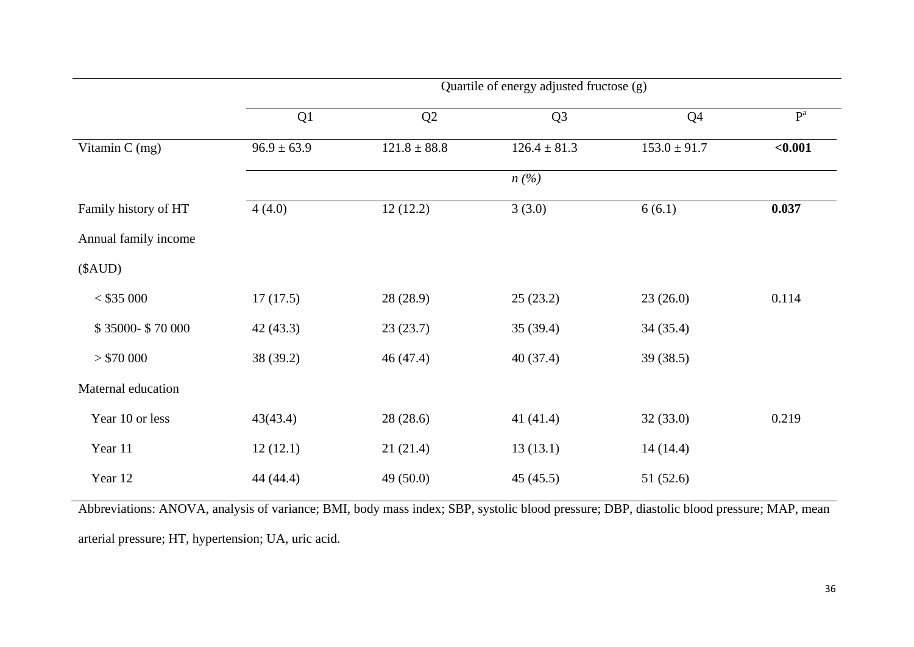|                      | Quartile of energy adjusted fructose (g) |                  |                               |                  |         |  |
|----------------------|------------------------------------------|------------------|-------------------------------|------------------|---------|--|
|                      | Q1                                       | Q2               | Q <sub>3</sub>                | Q <sub>4</sub>   | $P^a$   |  |
| Vitamin $C$ (mg)     | $96.9 \pm 63.9$                          | $121.8 \pm 88.8$ | $126.4 \pm 81.3$              | $153.0 \pm 91.7$ | $0.001$ |  |
|                      |                                          |                  | $n\left(\frac{\%}{\%}\right)$ |                  |         |  |
| Family history of HT | 4(4.0)                                   | 12(12.2)         | 3(3.0)                        | 6(6.1)           | 0.037   |  |
| Annual family income |                                          |                  |                               |                  |         |  |
| (SAUD)               |                                          |                  |                               |                  |         |  |
| $<$ \$35 000         | 17(17.5)                                 | 28(28.9)         | 25(23.2)                      | 23(26.0)         | 0.114   |  |
| \$35000-\$70000      | 42(43.3)                                 | 23(23.7)         | 35(39.4)                      | 34(35.4)         |         |  |
| > \$70000            | 38 (39.2)                                | 46(47.4)         | 40(37.4)                      | 39(38.5)         |         |  |
| Maternal education   |                                          |                  |                               |                  |         |  |
| Year 10 or less      | 43(43.4)                                 | 28(28.6)         | 41 $(41.4)$                   | 32(33.0)         | 0.219   |  |
| Year 11              | 12(12.1)                                 | 21(21.4)         | 13(13.1)                      | 14(14.4)         |         |  |
| Year 12              | 44 (44.4)                                | 49(50.0)         | 45(45.5)                      | 51(52.6)         |         |  |

Abbreviations: ANOVA, analysis of variance; BMI, body mass index; SBP, systolic blood pressure; DBP, diastolic blood pressure; MAP, mean arterial pressure; HT, hypertension; UA, uric acid.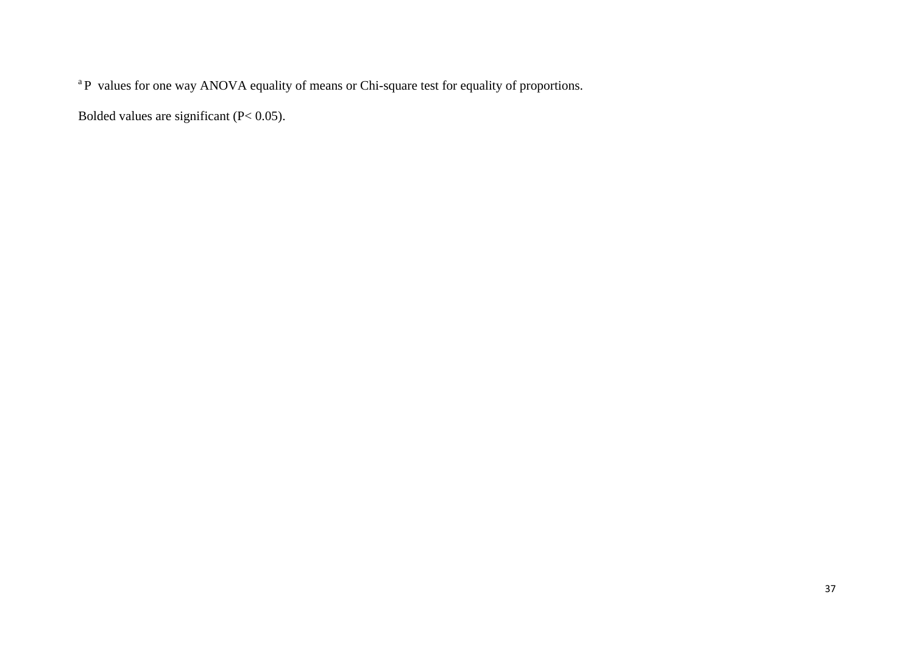<sup>a</sup>P values for one way ANOVA equality of means or Chi-square test for equality of proportions.

Bolded values are significant (P< 0.05).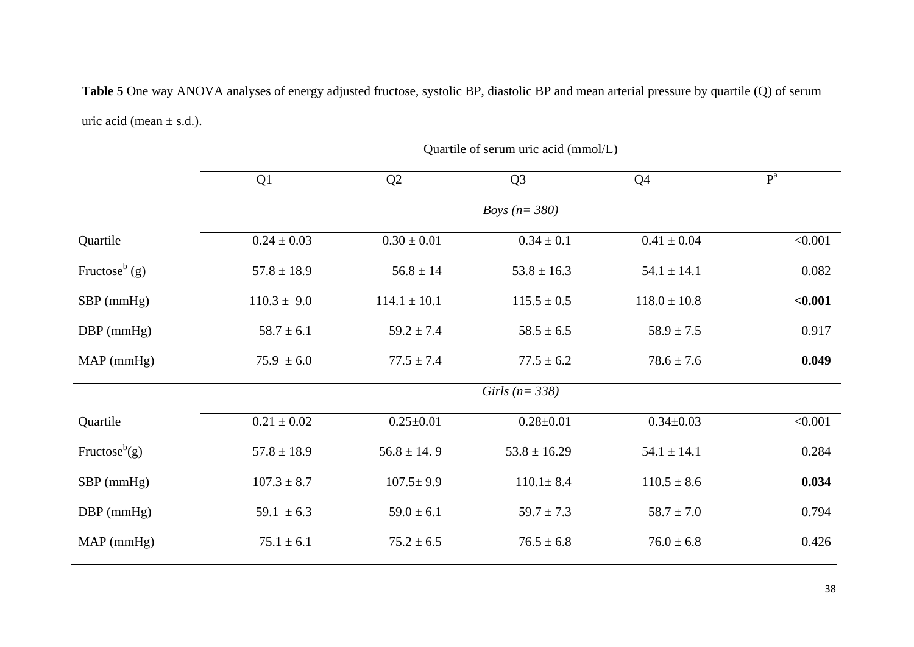|                              |  | Table 5 One way ANOVA analyses of energy adjusted fructose, systolic BP, diastolic BP and mean arterial pressure by quartile (Q) of serum |
|------------------------------|--|-------------------------------------------------------------------------------------------------------------------------------------------|
| uric acid (mean $\pm$ s.d.). |  |                                                                                                                                           |

|                           | Quartile of serum uric acid (mmol/L) |                  |                       |                  |                |  |
|---------------------------|--------------------------------------|------------------|-----------------------|------------------|----------------|--|
|                           | Q1                                   | Q2               | Q <sub>3</sub>        | Q <sub>4</sub>   | P <sup>a</sup> |  |
|                           |                                      |                  | <i>Boys</i> $(n=380)$ |                  |                |  |
| Quartile                  | $0.24 \pm 0.03$                      | $0.30 \pm 0.01$  | $0.34 \pm 0.1$        | $0.41 \pm 0.04$  | < 0.001        |  |
| Fructose <sup>b</sup> (g) | $57.8 \pm 18.9$                      | $56.8 \pm 14$    | $53.8 \pm 16.3$       | $54.1 \pm 14.1$  | 0.082          |  |
| $SBP$ (mmHg)              | $110.3 \pm 9.0$                      | $114.1 \pm 10.1$ | $115.5 \pm 0.5$       | $118.0 \pm 10.8$ | < 0.001        |  |
| $DBP$ (mmHg)              | $58.7 \pm 6.1$                       | $59.2 \pm 7.4$   | $58.5 \pm 6.5$        | $58.9 \pm 7.5$   | 0.917          |  |
| $MAP$ (mmHg)              | $75.9 \pm 6.0$                       | $77.5 \pm 7.4$   | $77.5 \pm 6.2$        | $78.6 \pm 7.6$   | 0.049          |  |
|                           |                                      |                  | Girls ( $n = 338$ )   |                  |                |  |
| Quartile                  | $0.21 \pm 0.02$                      | $0.25 \pm 0.01$  | $0.28 \pm 0.01$       | $0.34 \pm 0.03$  | < 0.001        |  |
| Fructose <sup>b</sup> (g) | $57.8 \pm 18.9$                      | $56.8 \pm 14.9$  | $53.8 \pm 16.29$      | $54.1 \pm 14.1$  | 0.284          |  |
| $SBP$ (mmHg)              | $107.3 \pm 8.7$                      | $107.5 \pm 9.9$  | $110.1 \pm 8.4$       | $110.5 \pm 8.6$  | 0.034          |  |
| $DBP$ (mmHg)              | 59.1 $\pm$ 6.3                       | $59.0 \pm 6.1$   | $59.7 \pm 7.3$        | $58.7 \pm 7.0$   | 0.794          |  |
| $MAP$ (mmHg)              | $75.1 \pm 6.1$                       | $75.2 \pm 6.5$   | $76.5 \pm 6.8$        | $76.0 \pm 6.8$   | 0.426          |  |